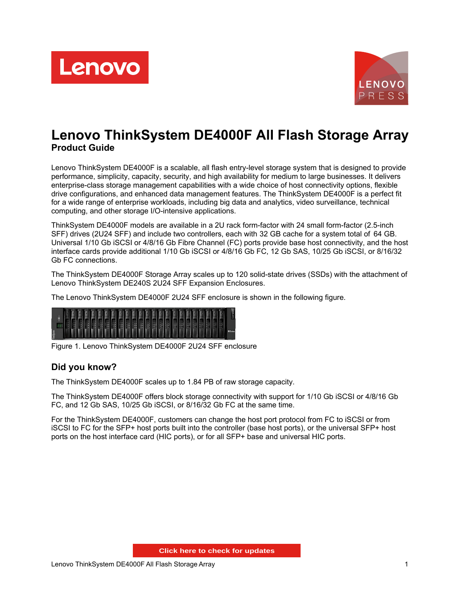



# **Lenovo ThinkSystem DE4000F All Flash Storage Array Product Guide**

Lenovo ThinkSystem DE4000F is a scalable, all flash entry-level storage system that is designed to provide performance, simplicity, capacity, security, and high availability for medium to large businesses. It delivers enterprise-class storage management capabilities with a wide choice of host connectivity options, flexible drive configurations, and enhanced data management features. The ThinkSystem DE4000F is a perfect fit for a wide range of enterprise workloads, including big data and analytics, video surveillance, technical computing, and other storage I/O-intensive applications.

ThinkSystem DE4000F models are available in a 2U rack form-factor with 24 small form-factor (2.5-inch SFF) drives (2U24 SFF) and include two controllers, each with 32 GB cache for a system total of 64 GB. Universal 1/10 Gb iSCSI or 4/8/16 Gb Fibre Channel (FC) ports provide base host connectivity, and the host interface cards provide additional 1/10 Gb iSCSI or 4/8/16 Gb FC, 12 Gb SAS, 10/25 Gb iSCSI, or 8/16/32 Gb FC connections.

The ThinkSystem DE4000F Storage Array scales up to 120 solid-state drives (SSDs) with the attachment of Lenovo ThinkSystem DE240S 2U24 SFF Expansion Enclosures.

The Lenovo ThinkSystem DE4000F 2U24 SFF enclosure is shown in the following figure.

|           |  |  |  |  |  |  |  |  |  |  |  |  | <b>DE Series</b> |
|-----------|--|--|--|--|--|--|--|--|--|--|--|--|------------------|
| <b>KG</b> |  |  |  |  |  |  |  |  |  |  |  |  |                  |

Figure 1. Lenovo ThinkSystem DE4000F 2U24 SFF enclosure

### **Did you know?**

The ThinkSystem DE4000F scales up to 1.84 PB of raw storage capacity.

The ThinkSystem DE4000F offers block storage connectivity with support for 1/10 Gb iSCSI or 4/8/16 Gb FC, and 12 Gb SAS, 10/25 Gb iSCSI, or 8/16/32 Gb FC at the same time.

For the ThinkSystem DE4000F, customers can change the host port protocol from FC to iSCSI or from iSCSI to FC for the SFP+ host ports built into the controller (base host ports), or the universal SFP+ host ports on the host interface card (HIC ports), or for all SFP+ base and universal HIC ports.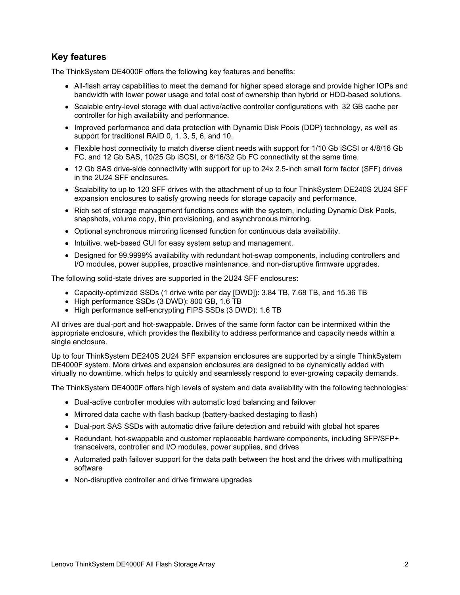## **Key features**

The ThinkSystem DE4000F offers the following key features and benefits:

- All-flash array capabilities to meet the demand for higher speed storage and provide higher IOPs and bandwidth with lower power usage and total cost of ownership than hybrid or HDD-based solutions.
- Scalable entry-level storage with dual active/active controller configurations with 32 GB cache per controller for high availability and performance.
- Improved performance and data protection with Dynamic Disk Pools (DDP) technology, as well as support for traditional RAID 0, 1, 3, 5, 6, and 10.
- Flexible host connectivity to match diverse client needs with support for 1/10 Gb iSCSI or 4/8/16 Gb FC, and 12 Gb SAS, 10/25 Gb iSCSI, or 8/16/32 Gb FC connectivity at the same time.
- 12 Gb SAS drive-side connectivity with support for up to 24x 2.5-inch small form factor (SFF) drives in the 2U24 SFF enclosures.
- Scalability to up to 120 SFF drives with the attachment of up to four ThinkSystem DE240S 2U24 SFF expansion enclosures to satisfy growing needs for storage capacity and performance.
- Rich set of storage management functions comes with the system, including Dynamic Disk Pools, snapshots, volume copy, thin provisioning, and asynchronous mirroring.
- Optional synchronous mirroring licensed function for continuous data availability.
- Intuitive, web-based GUI for easy system setup and management.
- Designed for 99.9999% availability with redundant hot-swap components, including controllers and I/O modules, power supplies, proactive maintenance, and non-disruptive firmware upgrades.

The following solid-state drives are supported in the 2U24 SFF enclosures:

- Capacity-optimized SSDs (1 drive write per day [DWD]): 3.84 TB, 7.68 TB, and 15.36 TB
- High performance SSDs (3 DWD): 800 GB, 1.6 TB
- High performance self-encrypting FIPS SSDs (3 DWD): 1.6 TB

All drives are dual-port and hot-swappable. Drives of the same form factor can be intermixed within the appropriate enclosure, which provides the flexibility to address performance and capacity needs within a single enclosure.

Up to four ThinkSystem DE240S 2U24 SFF expansion enclosures are supported by a single ThinkSystem DE4000F system. More drives and expansion enclosures are designed to be dynamically added with virtually no downtime, which helps to quickly and seamlessly respond to ever-growing capacity demands.

The ThinkSystem DE4000F offers high levels of system and data availability with the following technologies:

- Dual-active controller modules with automatic load balancing and failover
- Mirrored data cache with flash backup (battery-backed destaging to flash)
- Dual-port SAS SSDs with automatic drive failure detection and rebuild with global hot spares
- Redundant, hot-swappable and customer replaceable hardware components, including SFP/SFP+ transceivers, controller and I/O modules, power supplies, and drives
- Automated path failover support for the data path between the host and the drives with multipathing software
- Non-disruptive controller and drive firmware upgrades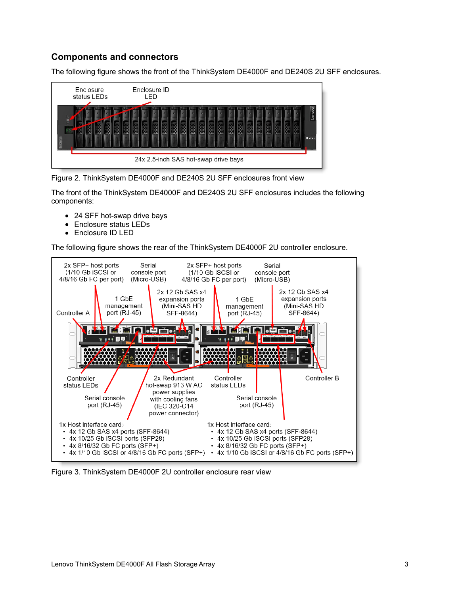## **Components and connectors**

The following figure shows the front of the ThinkSystem DE4000F and DE240S 2U SFF enclosures.





The front of the ThinkSystem DE4000F and DE240S 2U SFF enclosures includes the following components:

- 24 SFF hot-swap drive bays
- Enclosure status LEDs
- Enclosure ID LED

The following figure shows the rear of the ThinkSystem DE4000F 2U controller enclosure.



Figure 3. ThinkSystem DE4000F 2U controller enclosure rear view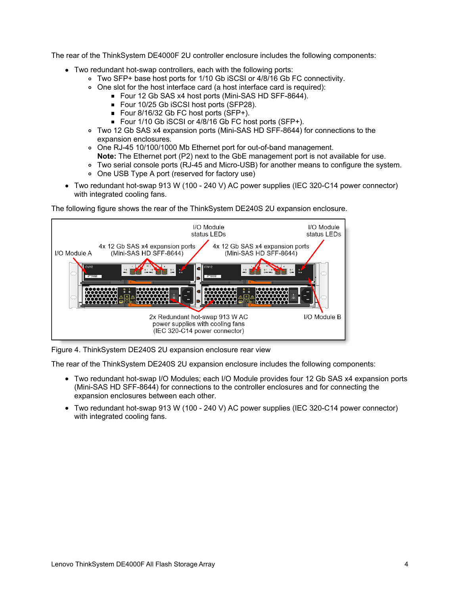The rear of the ThinkSystem DE4000F 2U controller enclosure includes the following components:

- Two redundant hot-swap controllers, each with the following ports:
	- Two SFP+ base host ports for 1/10 Gb iSCSI or 4/8/16 Gb FC connectivity.
	- One slot for the host interface card (a host interface card is required):
		- Four 12 Gb SAS x4 host ports (Mini-SAS HD SFF-8644).
			- Four 10/25 Gb iSCSI host ports (SFP28).
			- Four 8/16/32 Gb FC host ports (SFP+).
			- Four 1/10 Gb iSCSI or 4/8/16 Gb FC host ports (SFP+).
	- Two 12 Gb SAS x4 expansion ports (Mini-SAS HD SFF-8644) for connections to the expansion enclosures.
	- One RJ-45 10/100/1000 Mb Ethernet port for out-of-band management. **Note:** The Ethernet port (P2) next to the GbE management port is not available for use.
	- Two serial console ports (RJ-45 and Micro-USB) for another means to configure the system.
	- One USB Type A port (reserved for factory use)
- Two redundant hot-swap 913 W (100 240 V) AC power supplies (IEC 320-C14 power connector) with integrated cooling fans.

The following figure shows the rear of the ThinkSystem DE240S 2U expansion enclosure.



Figure 4. ThinkSystem DE240S 2U expansion enclosure rear view

The rear of the ThinkSystem DE240S 2U expansion enclosure includes the following components:

- Two redundant hot-swap I/O Modules; each I/O Module provides four 12 Gb SAS x4 expansion ports (Mini-SAS HD SFF-8644) for connections to the controller enclosures and for connecting the expansion enclosures between each other.
- Two redundant hot-swap 913 W (100 240 V) AC power supplies (IEC 320-C14 power connector) with integrated cooling fans.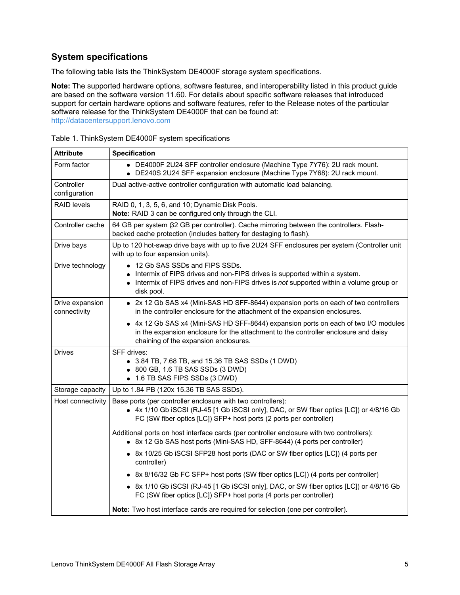## **System specifications**

The following table lists the ThinkSystem DE4000F storage system specifications.

**Note:** The supported hardware options, software features, and interoperability listed in this product guide are based on the software version 11.60. For details about specific software releases that introduced support for certain hardware options and software features, refer to the Release notes of the particular software release for the ThinkSystem DE4000F that can be found at: <http://datacentersupport.lenovo.com>

| <b>Attribute</b>                | <b>Specification</b>                                                                                                                                                                                                         |  |  |  |  |  |
|---------------------------------|------------------------------------------------------------------------------------------------------------------------------------------------------------------------------------------------------------------------------|--|--|--|--|--|
| Form factor                     | • DE4000F 2U24 SFF controller enclosure (Machine Type 7Y76): 2U rack mount.<br>• DE240S 2U24 SFF expansion enclosure (Machine Type 7Y68): 2U rack mount.                                                                     |  |  |  |  |  |
| Controller<br>configuration     | Dual active-active controller configuration with automatic load balancing.                                                                                                                                                   |  |  |  |  |  |
| <b>RAID levels</b>              | RAID 0, 1, 3, 5, 6, and 10; Dynamic Disk Pools.<br>Note: RAID 3 can be configured only through the CLI.                                                                                                                      |  |  |  |  |  |
| Controller cache                | 64 GB per system (32 GB per controller). Cache mirroring between the controllers. Flash-<br>backed cache protection (includes battery for destaging to flash).                                                               |  |  |  |  |  |
| Drive bays                      | Up to 120 hot-swap drive bays with up to five 2U24 SFF enclosures per system (Controller unit<br>with up to four expansion units).                                                                                           |  |  |  |  |  |
| Drive technology                | • 12 Gb SAS SSDs and FIPS SSDs.<br>• Intermix of FIPS drives and non-FIPS drives is supported within a system.<br>• Intermix of FIPS drives and non-FIPS drives is not supported within a volume group or<br>disk pool.      |  |  |  |  |  |
| Drive expansion<br>connectivity | • 2x 12 Gb SAS x4 (Mini-SAS HD SFF-8644) expansion ports on each of two controllers<br>in the controller enclosure for the attachment of the expansion enclosures.                                                           |  |  |  |  |  |
|                                 | • 4x 12 Gb SAS x4 (Mini-SAS HD SFF-8644) expansion ports on each of two I/O modules<br>in the expansion enclosure for the attachment to the controller enclosure and daisy<br>chaining of the expansion enclosures.          |  |  |  |  |  |
| <b>Drives</b>                   | SFF drives:<br>• 3.84 TB, 7.68 TB, and 15.36 TB SAS SSDs (1 DWD)<br>• 800 GB, 1.6 TB SAS SSDs (3 DWD)<br>• 1.6 TB SAS FIPS SSDs (3 DWD)                                                                                      |  |  |  |  |  |
| Storage capacity                | Up to 1.84 PB (120x 15.36 TB SAS SSDs).                                                                                                                                                                                      |  |  |  |  |  |
| Host connectivity               | Base ports (per controller enclosure with two controllers):<br>• 4x 1/10 Gb iSCSI (RJ-45 [1 Gb iSCSI only], DAC, or SW fiber optics [LC]) or 4/8/16 Gb<br>FC (SW fiber optics [LC]) SFP+ host ports (2 ports per controller) |  |  |  |  |  |
|                                 | Additional ports on host interface cards (per controller enclosure with two controllers):<br>• 8x 12 Gb SAS host ports (Mini-SAS HD, SFF-8644) (4 ports per controller)                                                      |  |  |  |  |  |
|                                 | • 8x 10/25 Gb iSCSI SFP28 host ports (DAC or SW fiber optics [LC]) (4 ports per<br>controller)                                                                                                                               |  |  |  |  |  |
|                                 | • 8x 8/16/32 Gb FC SFP+ host ports (SW fiber optics [LC]) (4 ports per controller)                                                                                                                                           |  |  |  |  |  |
|                                 | • 8x 1/10 Gb iSCSI (RJ-45 [1 Gb iSCSI only], DAC, or SW fiber optics [LC]) or 4/8/16 Gb<br>FC (SW fiber optics [LC]) SFP+ host ports (4 ports per controller)                                                                |  |  |  |  |  |
|                                 | Note: Two host interface cards are required for selection (one per controller).                                                                                                                                              |  |  |  |  |  |

Table 1. ThinkSystem DE4000F system specifications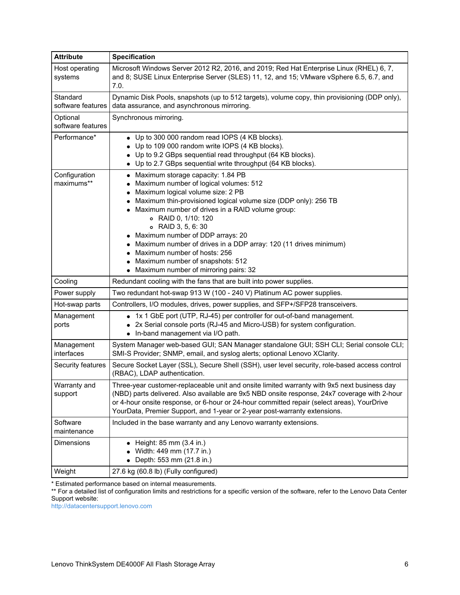| <b>Attribute</b>              | <b>Specification</b>                                                                                                                                                                                                                                                                                                                                                                                                                                                                                                     |
|-------------------------------|--------------------------------------------------------------------------------------------------------------------------------------------------------------------------------------------------------------------------------------------------------------------------------------------------------------------------------------------------------------------------------------------------------------------------------------------------------------------------------------------------------------------------|
| Host operating<br>systems     | Microsoft Windows Server 2012 R2, 2016, and 2019; Red Hat Enterprise Linux (RHEL) 6, 7,<br>and 8; SUSE Linux Enterprise Server (SLES) 11, 12, and 15; VMware vSphere 6.5, 6.7, and<br>7.0.                                                                                                                                                                                                                                                                                                                               |
| Standard<br>software features | Dynamic Disk Pools, snapshots (up to 512 targets), volume copy, thin provisioning (DDP only),<br>data assurance, and asynchronous mirroring.                                                                                                                                                                                                                                                                                                                                                                             |
| Optional<br>software features | Synchronous mirroring.                                                                                                                                                                                                                                                                                                                                                                                                                                                                                                   |
| Performance*                  | • Up to 300 000 random read IOPS (4 KB blocks).<br>• Up to 109 000 random write IOPS (4 KB blocks).<br>• Up to 9.2 GBps sequential read throughput (64 KB blocks).<br>• Up to 2.7 GBps sequential write throughput (64 KB blocks).                                                                                                                                                                                                                                                                                       |
| Configuration<br>maximums**   | • Maximum storage capacity: 1.84 PB<br>• Maximum number of logical volumes: 512<br>• Maximum logical volume size: 2 PB<br>Maximum thin-provisioned logical volume size (DDP only): 256 TB<br>Maximum number of drives in a RAID volume group:<br>o RAID 0, 1/10: 120<br>○ RAID 3, 5, 6:30<br>• Maximum number of DDP arrays: 20<br>• Maximum number of drives in a DDP array: 120 (11 drives minimum)<br>• Maximum number of hosts: 256<br>• Maximum number of snapshots: 512<br>• Maximum number of mirroring pairs: 32 |
| Cooling                       | Redundant cooling with the fans that are built into power supplies.                                                                                                                                                                                                                                                                                                                                                                                                                                                      |
| Power supply                  | Two redundant hot-swap 913 W (100 - 240 V) Platinum AC power supplies.                                                                                                                                                                                                                                                                                                                                                                                                                                                   |
| Hot-swap parts                | Controllers, I/O modules, drives, power supplies, and SFP+/SFP28 transceivers.                                                                                                                                                                                                                                                                                                                                                                                                                                           |
| Management<br>ports           | • 1x 1 GbE port (UTP, RJ-45) per controller for out-of-band management.<br>2x Serial console ports (RJ-45 and Micro-USB) for system configuration.<br>• In-band management via I/O path.                                                                                                                                                                                                                                                                                                                                 |
| Management<br>interfaces      | System Manager web-based GUI; SAN Manager standalone GUI; SSH CLI; Serial console CLI;<br>SMI-S Provider; SNMP, email, and syslog alerts; optional Lenovo XClarity.                                                                                                                                                                                                                                                                                                                                                      |
| Security features             | Secure Socket Layer (SSL), Secure Shell (SSH), user level security, role-based access control<br>(RBAC), LDAP authentication.                                                                                                                                                                                                                                                                                                                                                                                            |
| Warranty and<br>support       | Three-year customer-replaceable unit and onsite limited warranty with 9x5 next business day<br>(NBD) parts delivered. Also available are 9x5 NBD onsite response, 24x7 coverage with 2-hour<br>or 4-hour onsite response, or 6-hour or 24-hour committed repair (select areas), YourDrive<br>YourData, Premier Support, and 1-year or 2-year post-warranty extensions.                                                                                                                                                   |
| Software<br>maintenance       | Included in the base warranty and any Lenovo warranty extensions.                                                                                                                                                                                                                                                                                                                                                                                                                                                        |
| Dimensions                    | $\bullet$ Height: 85 mm (3.4 in.)<br>Width: 449 mm (17.7 in.)<br>Depth: 553 mm (21.8 in.)                                                                                                                                                                                                                                                                                                                                                                                                                                |
| Weight                        | 27.6 kg (60.8 lb) (Fully configured)                                                                                                                                                                                                                                                                                                                                                                                                                                                                                     |

\* Estimated performance based on internal measurements.

\*\* For a detailed list of configuration limits and restrictions for a specific version of the software, refer to the Lenovo Data Center Support website:

<http://datacentersupport.lenovo.com>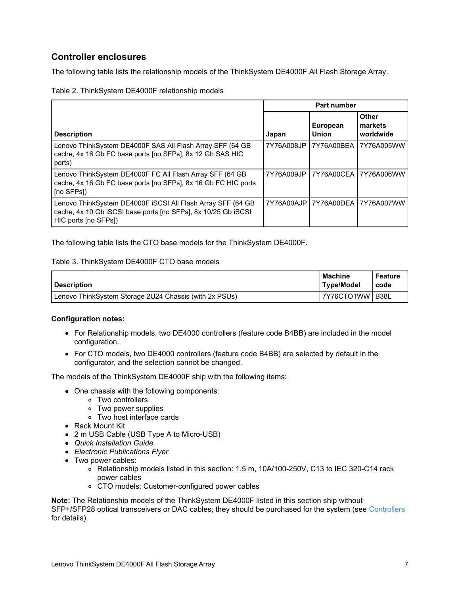## <span id="page-6-0"></span>**Controller enclosures**

The following table lists the relationship models of the ThinkSystem DE4000F All Flash Storage Array.

Table 2. ThinkSystem DE4000F relationship models

|                                                                                                                                                      | <b>Part number</b> |                                 |                                      |  |  |  |
|------------------------------------------------------------------------------------------------------------------------------------------------------|--------------------|---------------------------------|--------------------------------------|--|--|--|
| <b>Description</b>                                                                                                                                   | Japan              | <b>European</b><br><b>Union</b> | <b>Other</b><br>markets<br>worldwide |  |  |  |
| Lenovo ThinkSystem DE4000F SAS All Flash Array SFF (64 GB<br>cache, 4x 16 Gb FC base ports [no SFPs], 8x 12 Gb SAS HIC<br>ports)                     | 7Y76A008JP         | 7Y76A00BEA                      | 7Y76A005WW                           |  |  |  |
| Lenovo ThinkSystem DE4000F FC All Flash Array SFF (64 GB<br>cache, 4x 16 Gb FC base ports [no SFPs], 8x 16 Gb FC HIC ports<br>I [no SFPs])           |                    |                                 | 7Y76A009JP 17Y76A00CEA 17Y76A006WW   |  |  |  |
| Lenovo ThinkSystem DE4000F ISCSI All Flash Array SFF (64 GB<br>cache, 4x 10 Gb iSCSI base ports [no SFPs], 8x 10/25 Gb iSCSI<br>HIC ports [no SFPs]) |                    |                                 | 7Y76A00AJP 7Y76A00DEA 7Y76A007WW     |  |  |  |

The following table lists the CTO base models for the ThinkSystem DE4000F.

#### Table 3. ThinkSystem DE4000F CTO base models

| Description                                            | <b>Machine</b><br>Type/Model | <b>Feature</b><br>code · |
|--------------------------------------------------------|------------------------------|--------------------------|
| Lenovo ThinkSystem Storage 2U24 Chassis (with 2x PSUs) | 7Y76CTO1WW B38L              |                          |

### **Configuration notes:**

- For Relationship models, two DE4000 controllers (feature code B4BB) are included in the model configuration.
- For CTO models, two DE4000 controllers (feature code B4BB) are selected by default in the configurator, and the selection cannot be changed.

The models of the ThinkSystem DE4000F ship with the following items:

- One chassis with the following components:
	- Two controllers
	- Two power supplies
	- Two host interface cards
- Rack Mount Kit
- 2 m USB Cable (USB Type A to Micro-USB)
- *Quick Installation Guide*
- *Electronic Publications Flyer*
- Two power cables:
	- Relationship models listed in this section: 1.5 m, 10A/100-250V, C13 to IEC 320-C14 rack power cables
	- CTO models: Customer-configured power cables

**Note:** The Relationship models of the ThinkSystem DE4000F listed in this section ship without SFP+/SFP28 optical transceivers or DAC cables; they should be purchased for the system (see [Controllers](#page-7-0) for details).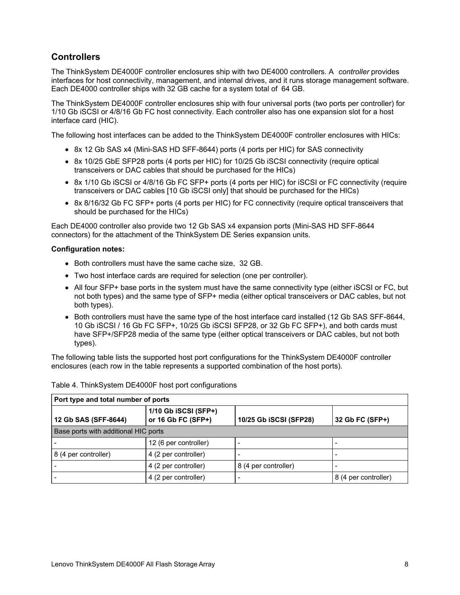## <span id="page-7-0"></span>**Controllers**

The ThinkSystem DE4000F controller enclosures ship with two DE4000 controllers. A *controller* provides interfaces for host connectivity, management, and internal drives, and it runs storage management software. Each DE4000 controller ships with 32 GB cache for a system total of 64 GB.

The ThinkSystem DE4000F controller enclosures ship with four universal ports (two ports per controller) for 1/10 Gb iSCSI or 4/8/16 Gb FC host connectivity. Each controller also has one expansion slot for a host interface card (HIC).

The following host interfaces can be added to the ThinkSystem DE4000F controller enclosures with HICs:

- 8x 12 Gb SAS x4 (Mini-SAS HD SFF-8644) ports (4 ports per HIC) for SAS connectivity
- 8x 10/25 GbE SFP28 ports (4 ports per HIC) for 10/25 Gb iSCSI connectivity (require optical transceivers or DAC cables that should be purchased for the HICs)
- 8x 1/10 Gb iSCSI or 4/8/16 Gb FC SFP+ ports (4 ports per HIC) for iSCSI or FC connectivity (require transceivers or DAC cables [10 Gb iSCSI only] that should be purchased for the HICs)
- 8x 8/16/32 Gb FC SFP+ ports (4 ports per HIC) for FC connectivity (require optical transceivers that should be purchased for the HICs)

Each DE4000 controller also provide two 12 Gb SAS x4 expansion ports (Mini-SAS HD SFF-8644 connectors) for the attachment of the ThinkSystem DE Series expansion units.

#### **Configuration notes:**

- Both controllers must have the same cache size, 32 GB.
- Two host interface cards are required for selection (one per controller).
- All four SFP+ base ports in the system must have the same connectivity type (either iSCSI or FC, but not both types) and the same type of SFP+ media (either optical transceivers or DAC cables, but not both types).
- Both controllers must have the same type of the host interface card installed (12 Gb SAS SFF-8644, 10 Gb iSCSI / 16 Gb FC SFP+, 10/25 Gb iSCSI SFP28, or 32 Gb FC SFP+), and both cards must have SFP+/SFP28 media of the same type (either optical transceivers or DAC cables, but not both types).

The following table lists the supported host port configurations for the ThinkSystem DE4000F controller enclosures (each row in the table represents a supported combination of the host ports).

| Port type and total number of ports  |                                            |                        |                      |  |  |  |  |
|--------------------------------------|--------------------------------------------|------------------------|----------------------|--|--|--|--|
| 12 Gb SAS (SFF-8644)                 | 1/10 Gb iSCSI (SFP+)<br>or 16 Gb FC (SFP+) | 10/25 Gb iSCSI (SFP28) | 32 Gb FC (SFP+)      |  |  |  |  |
| Base ports with additional HIC ports |                                            |                        |                      |  |  |  |  |
|                                      | 12 (6 per controller)                      |                        |                      |  |  |  |  |
| 8 (4 per controller)                 | 4 (2 per controller)                       |                        |                      |  |  |  |  |
|                                      | 4 (2 per controller)                       | 8 (4 per controller)   |                      |  |  |  |  |
|                                      | 4 (2 per controller)                       |                        | 8 (4 per controller) |  |  |  |  |

|  |  | Table 4. ThinkSystem DE4000F host port configurations |
|--|--|-------------------------------------------------------|
|  |  |                                                       |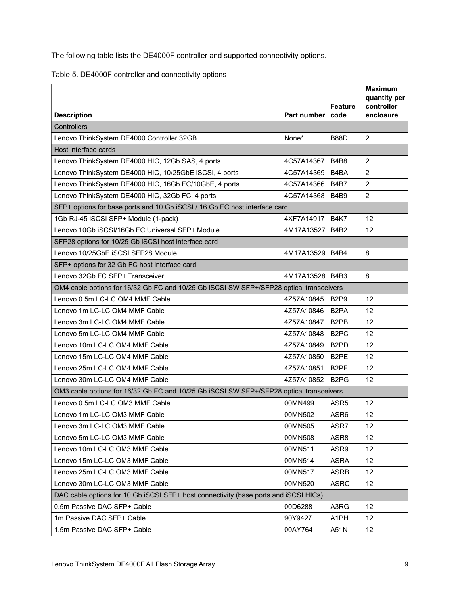The following table lists the DE4000F controller and supported connectivity options.

| Table 5. DE4000F controller and connectivity options |  |  |
|------------------------------------------------------|--|--|
|                                                      |  |  |

|                                                                                         |             |                               | <b>Maximum</b><br>quantity per |
|-----------------------------------------------------------------------------------------|-------------|-------------------------------|--------------------------------|
|                                                                                         |             | <b>Feature</b>                | controller                     |
| <b>Description</b>                                                                      | Part number | code                          | enclosure                      |
| Controllers                                                                             |             |                               |                                |
| Lenovo ThinkSystem DE4000 Controller 32GB                                               | None*       | <b>B88D</b>                   | $\overline{2}$                 |
| Host interface cards                                                                    |             |                               |                                |
| Lenovo ThinkSystem DE4000 HIC, 12Gb SAS, 4 ports                                        | 4C57A14367  | <b>B4B8</b>                   | $\overline{c}$                 |
| Lenovo ThinkSystem DE4000 HIC, 10/25GbE iSCSI, 4 ports                                  | 4C57A14369  | B4BA                          | $\overline{2}$                 |
| Lenovo ThinkSystem DE4000 HIC, 16Gb FC/10GbE, 4 ports                                   | 4C57A14366  | <b>B4B7</b>                   | $\overline{c}$                 |
| Lenovo ThinkSystem DE4000 HIC, 32Gb FC, 4 ports                                         | 4C57A14368  | <b>B4B9</b>                   | $\overline{2}$                 |
| SFP+ options for base ports and 10 Gb iSCSI / 16 Gb FC host interface card              |             |                               |                                |
| 1Gb RJ-45 iSCSI SFP+ Module (1-pack)                                                    | 4XF7A14917  | <b>B4K7</b>                   | 12                             |
| Lenovo 10Gb iSCSI/16Gb FC Universal SFP+ Module                                         | 4M17A13527  | <b>B4B2</b>                   | 12                             |
| SFP28 options for 10/25 Gb iSCSI host interface card                                    |             |                               |                                |
| Lenovo 10/25GbE iSCSI SFP28 Module                                                      | 4M17A13529  | <b>B4B4</b>                   | 8                              |
| SFP+ options for 32 Gb FC host interface card                                           |             |                               |                                |
| Lenovo 32Gb FC SFP+ Transceiver                                                         | 4M17A13528  | B4B3                          | 8                              |
| OM4 cable options for 16/32 Gb FC and 10/25 Gb iSCSI SW SFP+/SFP28 optical transceivers |             |                               |                                |
| Lenovo 0.5m LC-LC OM4 MMF Cable                                                         | 4Z57A10845  | B <sub>2P9</sub>              | 12                             |
| Lenovo 1m LC-LC OM4 MMF Cable                                                           | 4Z57A10846  | B <sub>2</sub> PA             | 12                             |
| Lenovo 3m LC-LC OM4 MMF Cable                                                           | 4Z57A10847  | B <sub>2</sub> PB             | 12                             |
| Lenovo 5m LC-LC OM4 MMF Cable                                                           | 4Z57A10848  | B <sub>2</sub> PC             | 12                             |
| Lenovo 10m LC-LC OM4 MMF Cable                                                          | 4Z57A10849  | B <sub>2</sub> P <sub>D</sub> | 12                             |
| Lenovo 15m LC-LC OM4 MMF Cable                                                          | 4Z57A10850  | B <sub>2</sub> PE             | 12                             |
| Lenovo 25m LC-LC OM4 MMF Cable                                                          | 4Z57A10851  | B <sub>2</sub> PF             | 12                             |
| Lenovo 30m LC-LC OM4 MMF Cable                                                          | 4Z57A10852  | B <sub>2</sub> P <sub>G</sub> | 12                             |
| OM3 cable options for 16/32 Gb FC and 10/25 Gb iSCSI SW SFP+/SFP28 optical transceivers |             |                               |                                |
| Lenovo 0.5m LC-LC OM3 MMF Cable                                                         | 00MN499     | ASR <sub>5</sub>              | 12                             |
| Lenovo 1m LC-LC OM3 MMF Cable                                                           | 00MN502     | ASR6                          | 12                             |
| Lenovo 3m LC-LC OM3 MMF Cable                                                           | 00MN505     | ASR7                          | 12                             |
| Lenovo 5m LC-LC OM3 MMF Cable                                                           | 00MN508     | ASR8                          | 12                             |
| Lenovo 10m LC-LC OM3 MMF Cable                                                          | 00MN511     | ASR9                          | 12                             |
| Lenovo 15m LC-LC OM3 MMF Cable                                                          | 00MN514     | <b>ASRA</b>                   | 12                             |
| Lenovo 25m LC-LC OM3 MMF Cable                                                          | 00MN517     | <b>ASRB</b>                   | 12                             |
| Lenovo 30m LC-LC OM3 MMF Cable                                                          | 00MN520     | <b>ASRC</b>                   | 12                             |
| DAC cable options for 10 Gb iSCSI SFP+ host connectivity (base ports and iSCSI HICs)    |             |                               |                                |
| 0.5m Passive DAC SFP+ Cable                                                             | 00D6288     | A3RG                          | 12                             |
| 1m Passive DAC SFP+ Cable                                                               | 90Y9427     | A1PH                          | 12 <sub>2</sub>                |
| 1.5m Passive DAC SFP+ Cable                                                             | 00AY764     | A51N                          | 12 <sup>°</sup>                |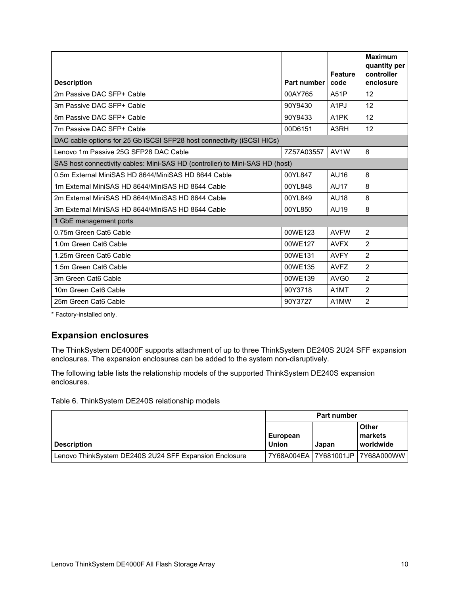|                                                                              |             |                        | <b>Maximum</b><br>quantity per |
|------------------------------------------------------------------------------|-------------|------------------------|--------------------------------|
| <b>Description</b>                                                           | Part number | <b>Feature</b><br>code | controller<br>enclosure        |
| 2m Passive DAC SFP+ Cable                                                    | 00AY765     | <b>A51P</b>            | 12                             |
| 3m Passive DAC SFP+ Cable                                                    | 90Y9430     | A <sub>1</sub> PJ      | 12                             |
| 5m Passive DAC SFP+ Cable                                                    | 90Y9433     | A <sub>1</sub> PK      | 12                             |
| 7m Passive DAC SFP+ Cable                                                    | 00D6151     | A3RH                   | 12                             |
| DAC cable options for 25 Gb iSCSI SFP28 host connectivity (iSCSI HICs)       |             |                        |                                |
| Lenovo 1m Passive 25G SFP28 DAC Cable                                        | 7Z57A03557  | AV1W                   | 8                              |
| SAS host connectivity cables: Mini-SAS HD (controller) to Mini-SAS HD (host) |             |                        |                                |
| 0.5m External MiniSAS HD 8644/MiniSAS HD 8644 Cable                          | 00YL847     | AU16                   | 8                              |
| 1m External MiniSAS HD 8644/MiniSAS HD 8644 Cable                            | 00YL848     | <b>AU17</b>            | 8                              |
| 2m External MiniSAS HD 8644/MiniSAS HD 8644 Cable                            | 00YL849     | <b>AU18</b>            | 8                              |
| 3m External MiniSAS HD 8644/MiniSAS HD 8644 Cable                            | 00YL850     | AU19                   | 8                              |
| 1 GbE management ports                                                       |             |                        |                                |
| 0.75m Green Cat6 Cable                                                       | 00WE123     | <b>AVFW</b>            | $\overline{2}$                 |
| 1.0m Green Cat6 Cable                                                        | 00WE127     | <b>AVFX</b>            | $\overline{2}$                 |
| 1.25m Green Cat6 Cable                                                       | 00WE131     | <b>AVFY</b>            | $\overline{2}$                 |
| 1.5m Green Cat6 Cable                                                        | 00WE135     | <b>AVFZ</b>            | $\overline{2}$                 |
| 3m Green Cat6 Cable                                                          | 00WE139     | AVG <sub>0</sub>       | $\overline{2}$                 |
| 10m Green Cat6 Cable                                                         | 90Y3718     | A1MT                   | $\overline{2}$                 |
| 25m Green Cat6 Cable                                                         | 90Y3727     | A1MW                   | $\overline{2}$                 |

\* Factory-installed only.

## <span id="page-9-0"></span>**Expansion enclosures**

The ThinkSystem DE4000F supports attachment of up to three ThinkSystem DE240S 2U24 SFF expansion enclosures. The expansion enclosures can be added to the system non-disruptively.

The following table lists the relationship models of the supported ThinkSystem DE240S expansion enclosures.

Table 6. ThinkSystem DE240S relationship models

|                                                        | Part number       |       |                                   |  |
|--------------------------------------------------------|-------------------|-------|-----------------------------------|--|
| <b>Description</b>                                     | European<br>Union | Japan | l Other<br>l markets<br>worldwide |  |
| Lenovo ThinkSystem DE240S 2U24 SFF Expansion Enclosure |                   |       |                                   |  |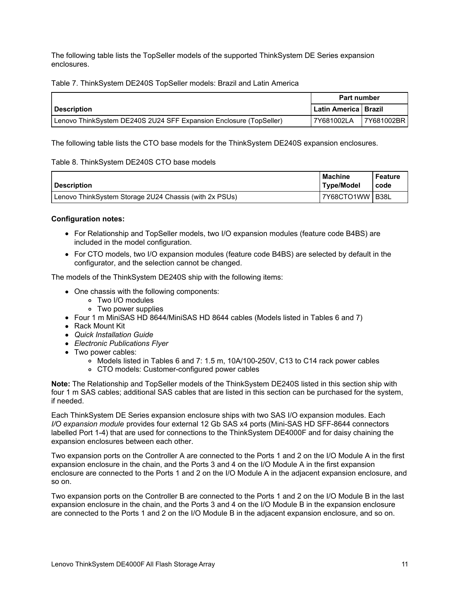The following table lists the TopSeller models of the supported ThinkSystem DE Series expansion enclosures.

Table 7. ThinkSystem DE240S TopSeller models: Brazil and Latin America

|                                                                    | <b>Part number</b>       |            |  |
|--------------------------------------------------------------------|--------------------------|------------|--|
| <b>Description</b>                                                 | l Latin America I Brazil |            |  |
| Lenovo ThinkSystem DE240S 2U24 SFF Expansion Enclosure (TopSeller) | 7Y681002LA               | 7Y681002BR |  |

The following table lists the CTO base models for the ThinkSystem DE240S expansion enclosures.

#### Table 8. ThinkSystem DE240S CTO base models

| <b>Description</b>                                     | <b>Machine</b><br>Type/Model | <b>Feature</b><br>code |
|--------------------------------------------------------|------------------------------|------------------------|
| Lenovo ThinkSystem Storage 2U24 Chassis (with 2x PSUs) | 7Y68CTO1WW B38L              |                        |

#### **Configuration notes:**

- For Relationship and TopSeller models, two I/O expansion modules (feature code B4BS) are included in the model configuration.
- For CTO models, two I/O expansion modules (feature code B4BS) are selected by default in the configurator, and the selection cannot be changed.

The models of the ThinkSystem DE240S ship with the following items:

- One chassis with the following components:
	- Two I/O modules
	- Two power supplies
- Four 1 m MiniSAS HD 8644/MiniSAS HD 8644 cables (Models listed in Tables 6 and 7)
- Rack Mount Kit
- *Quick Installation Guide*
- *Electronic Publications Flyer*
- Two power cables:
	- Models listed in Tables 6 and 7: 1.5 m, 10A/100-250V, C13 to C14 rack power cables
	- CTO models: Customer-configured power cables

**Note:** The Relationship and TopSeller models of the ThinkSystem DE240S listed in this section ship with four 1 m SAS cables; additional SAS cables that are listed in this section can be purchased for the system, if needed.

Each ThinkSystem DE Series expansion enclosure ships with two SAS I/O expansion modules. Each *I/O expansion module* provides four external 12 Gb SAS x4 ports (Mini-SAS HD SFF-8644 connectors labelled Port 1-4) that are used for connections to the ThinkSystem DE4000F and for daisy chaining the expansion enclosures between each other.

Two expansion ports on the Controller A are connected to the Ports 1 and 2 on the I/O Module A in the first expansion enclosure in the chain, and the Ports 3 and 4 on the I/O Module A in the first expansion enclosure are connected to the Ports 1 and 2 on the I/O Module A in the adjacent expansion enclosure, and so on.

Two expansion ports on the Controller B are connected to the Ports 1 and 2 on the I/O Module B in the last expansion enclosure in the chain, and the Ports 3 and 4 on the I/O Module B in the expansion enclosure are connected to the Ports 1 and 2 on the I/O Module B in the adjacent expansion enclosure, and so on.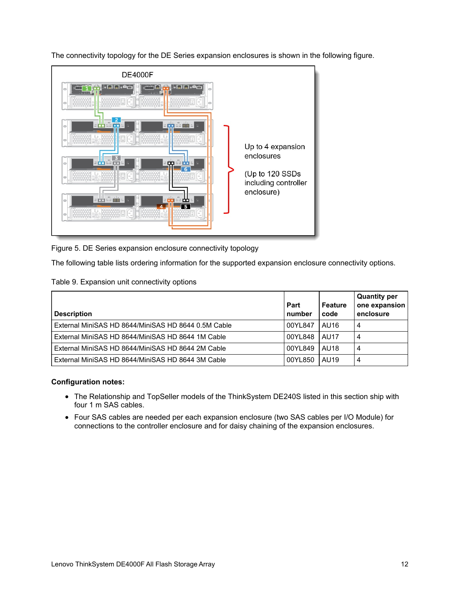The connectivity topology for the DE Series expansion enclosures is shown in the following figure.



Figure 5. DE Series expansion enclosure connectivity topology

The following table lists ordering information for the supported expansion enclosure connectivity options.

| Table 9. Expansion unit connectivity options |
|----------------------------------------------|
|----------------------------------------------|

| <b>Description</b>                                  | Part<br>number | <b>Feature</b><br>code | <b>Quantity per</b><br>one expansion<br>enclosure |
|-----------------------------------------------------|----------------|------------------------|---------------------------------------------------|
| External MiniSAS HD 8644/MiniSAS HD 8644 0.5M Cable | 00YL847        | AU16                   | 4                                                 |
| External MiniSAS HD 8644/MiniSAS HD 8644 1M Cable   | 00YL848        | <b>AU17</b>            | 4                                                 |
| External MiniSAS HD 8644/MiniSAS HD 8644 2M Cable   | 00YL849        | <b>AU18</b>            | 4                                                 |
| External MiniSAS HD 8644/MiniSAS HD 8644 3M Cable   | 00YL850        | AU19                   | 4                                                 |

### **Configuration notes:**

- The Relationship and TopSeller models of the ThinkSystem DE240S listed in this section ship with four 1 m SAS cables.
- Four SAS cables are needed per each expansion enclosure (two SAS cables per I/O Module) for connections to the controller enclosure and for daisy chaining of the expansion enclosures.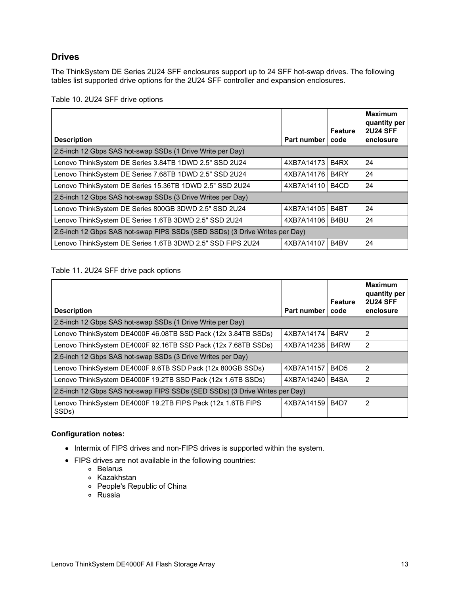## **Drives**

The ThinkSystem DE Series 2U24 SFF enclosures support up to 24 SFF hot-swap drives. The following tables list supported drive options for the 2U24 SFF controller and expansion enclosures.

| <b>Description</b>                                                          | <b>Part number</b> | Feature<br>code               | <b>Maximum</b><br>quantity per<br><b>2U24 SFF</b><br>enclosure |
|-----------------------------------------------------------------------------|--------------------|-------------------------------|----------------------------------------------------------------|
|                                                                             |                    |                               |                                                                |
| 2.5-inch 12 Gbps SAS hot-swap SSDs (1 Drive Write per Day)                  |                    |                               |                                                                |
| Lenovo ThinkSystem DE Series 3.84TB 1DWD 2.5" SSD 2U24                      | 4XB7A14173         | B <sub>4</sub> R <sub>X</sub> | 24                                                             |
| Lenovo ThinkSystem DE Series 7.68TB 1DWD 2.5" SSD 2U24                      | 4XB7A14176         | B <sub>4</sub> RY             | 24                                                             |
| Lenovo ThinkSystem DE Series 15.36TB 1DWD 2.5" SSD 2U24                     | 4XB7A14110         | B <sub>4</sub> C <sub>D</sub> | 24                                                             |
| 2.5-inch 12 Gbps SAS hot-swap SSDs (3 Drive Writes per Day)                 |                    |                               |                                                                |
| Lenovo ThinkSystem DE Series 800GB 3DWD 2.5" SSD 2U24                       | 4XB7A14105         | B4BT                          | 24                                                             |
| Lenovo ThinkSystem DE Series 1.6TB 3DWD 2.5" SSD 2U24                       | 4XB7A14106         | B4BU                          | 24                                                             |
| 2.5-inch 12 Gbps SAS hot-swap FIPS SSDs (SED SSDs) (3 Drive Writes per Day) |                    |                               |                                                                |
| Lenovo ThinkSystem DE Series 1.6TB 3DWD 2.5" SSD FIPS 2U24                  | 4XB7A14107         | B4BV                          | 24                                                             |

Table 10. 2U24 SFF drive options

#### Table 11. 2U24 SFF drive pack options

| <b>Description</b>                                                                | Part number | <b>Feature</b><br>code | <b>Maximum</b><br>quantity per<br><b>2U24 SFF</b><br>enclosure |
|-----------------------------------------------------------------------------------|-------------|------------------------|----------------------------------------------------------------|
| 2.5-inch 12 Gbps SAS hot-swap SSDs (1 Drive Write per Day)                        |             |                        |                                                                |
| Lenovo ThinkSystem DE4000F 46.08TB SSD Pack (12x 3.84TB SSDs)                     | 4XB7A14174  | B <sub>4</sub> RV      | 2                                                              |
| Lenovo ThinkSystem DE4000F 92.16TB SSD Pack (12x 7.68TB SSDs)                     | 4XB7A14238  | B4RW                   | 2                                                              |
| 2.5-inch 12 Gbps SAS hot-swap SSDs (3 Drive Writes per Day)                       |             |                        |                                                                |
| Lenovo ThinkSystem DE4000F 9.6TB SSD Pack (12x 800GB SSDs)                        | 4XB7A14157  | <b>B4D5</b>            | 2                                                              |
| Lenovo ThinkSystem DE4000F 19.2TB SSD Pack (12x 1.6TB SSDs)                       | 4XB7A14240  | B4SA                   | $\overline{2}$                                                 |
| 2.5-inch 12 Gbps SAS hot-swap FIPS SSDs (SED SSDs) (3 Drive Writes per Day)       |             |                        |                                                                |
| Lenovo ThinkSystem DE4000F 19.2TB FIPS Pack (12x 1.6TB FIPS<br>SSD <sub>s</sub> ) | 4XB7A14159  | <b>B4D7</b>            | $\overline{2}$                                                 |

#### **Configuration notes:**

- Intermix of FIPS drives and non-FIPS drives is supported within the system.
- FIPS drives are not available in the following countries:
	- o Belarus
	- Kazakhstan
	- People's Republic of China
	- Russia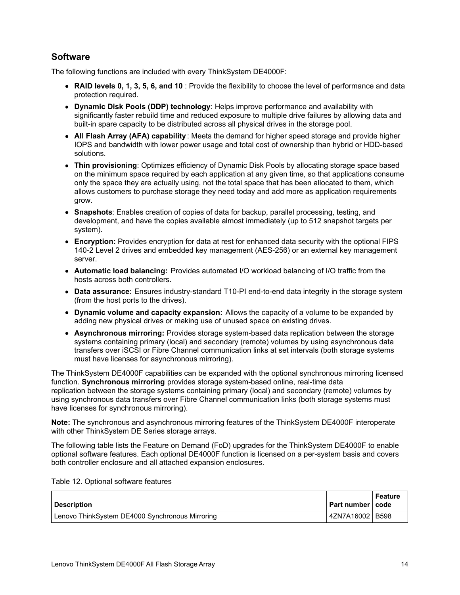## **Software**

The following functions are included with every ThinkSystem DE4000F:

- **RAID levels 0, 1, 3, 5, 6, and 10** : Provide the flexibility to choose the level of performance and data protection required.
- **Dynamic Disk Pools (DDP) technology**: Helps improve performance and availability with significantly faster rebuild time and reduced exposure to multiple drive failures by allowing data and built-in spare capacity to be distributed across all physical drives in the storage pool.
- **All Flash Array (AFA) capability** : Meets the demand for higher speed storage and provide higher IOPS and bandwidth with lower power usage and total cost of ownership than hybrid or HDD-based solutions.
- **Thin provisioning**: Optimizes efficiency of Dynamic Disk Pools by allocating storage space based on the minimum space required by each application at any given time, so that applications consume only the space they are actually using, not the total space that has been allocated to them, which allows customers to purchase storage they need today and add more as application requirements grow.
- **Snapshots**: Enables creation of copies of data for backup, parallel processing, testing, and development, and have the copies available almost immediately (up to 512 snapshot targets per system).
- **Encryption:** Provides encryption for data at rest for enhanced data security with the optional FIPS 140-2 Level 2 drives and embedded key management (AES-256) or an external key management server.
- **Automatic load balancing:** Provides automated I/O workload balancing of I/O traffic from the hosts across both controllers.
- **Data assurance:** Ensures industry-standard T10-PI end-to-end data integrity in the storage system (from the host ports to the drives).
- **Dynamic volume and capacity expansion:** Allows the capacity of a volume to be expanded by adding new physical drives or making use of unused space on existing drives.
- **Asynchronous mirroring:** Provides storage system-based data replication between the storage systems containing primary (local) and secondary (remote) volumes by using asynchronous data transfers over iSCSI or Fibre Channel communication links at set intervals (both storage systems must have licenses for asynchronous mirroring).

The ThinkSystem DE4000F capabilities can be expanded with the optional synchronous mirroring licensed function. **Synchronous mirroring** provides storage system-based online, real-time data replication between the storage systems containing primary (local) and secondary (remote) volumes by using synchronous data transfers over Fibre Channel communication links (both storage systems must have licenses for synchronous mirroring).

**Note:** The synchronous and asynchronous mirroring features of the ThinkSystem DE4000F interoperate with other ThinkSystem DE Series storage arrays.

The following table lists the Feature on Demand (FoD) upgrades for the ThinkSystem DE4000F to enable optional software features. Each optional DE4000F function is licensed on a per-system basis and covers both controller enclosure and all attached expansion enclosures.

Table 12. Optional software features

| <b>I</b> Description                            | l Part number I code | l Feature |
|-------------------------------------------------|----------------------|-----------|
| Lenovo ThinkSystem DE4000 Synchronous Mirroring | 4ZN7A16002 B598      |           |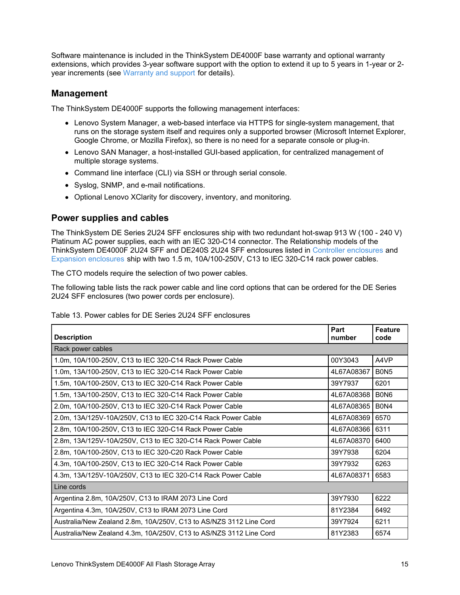Software maintenance is included in the ThinkSystem DE4000F base warranty and optional warranty extensions, which provides 3-year software support with the option to extend it up to 5 years in 1-year or 2 year increments (see [Warranty](#page-18-0) and support for details).

### **Management**

The ThinkSystem DE4000F supports the following management interfaces:

- Lenovo System Manager, a web-based interface via HTTPS for single-system management, that runs on the storage system itself and requires only a supported browser (Microsoft Internet Explorer, Google Chrome, or Mozilla Firefox), so there is no need for a separate console or plug-in.
- Lenovo SAN Manager, a host-installed GUI-based application, for centralized management of multiple storage systems.
- Command line interface (CLI) via SSH or through serial console.
- Syslog, SNMP, and e-mail notifications.
- Optional Lenovo XClarity for discovery, inventory, and monitoring.

### **Power supplies and cables**

The ThinkSystem DE Series 2U24 SFF enclosures ship with two redundant hot-swap 913 W (100 - 240 V) Platinum AC power supplies, each with an IEC 320-C14 connector. The Relationship models of the ThinkSystem DE4000F 2U24 SFF and DE240S 2U24 SFF enclosures listed in Controller [enclosures](#page-6-0) and Expansion [enclosures](#page-9-0) ship with two 1.5 m, 10A/100-250V, C13 to IEC 320-C14 rack power cables.

The CTO models require the selection of two power cables.

The following table lists the rack power cable and line cord options that can be ordered for the DE Series 2U24 SFF enclosures (two power cords per enclosure).

| <b>Description</b>                                                 | Part<br>number | Feature<br>code               |
|--------------------------------------------------------------------|----------------|-------------------------------|
| Rack power cables                                                  |                |                               |
| 1.0m, 10A/100-250V, C13 to IEC 320-C14 Rack Power Cable            | 00Y3043        | A4VP                          |
| 1.0m, 13A/100-250V, C13 to IEC 320-C14 Rack Power Cable            | 4L67A08367     | B <sub>0</sub> N <sub>5</sub> |
| 1.5m, 10A/100-250V, C13 to IEC 320-C14 Rack Power Cable            | 39Y7937        | 6201                          |
| 1.5m, 13A/100-250V, C13 to IEC 320-C14 Rack Power Cable            | 4L67A08368     | B <sub>0</sub> N <sub>6</sub> |
| 2.0m, 10A/100-250V, C13 to IEC 320-C14 Rack Power Cable            | 4L67A08365     | <b>B0N4</b>                   |
| 2.0m, 13A/125V-10A/250V, C13 to IEC 320-C14 Rack Power Cable       | 4L67A08369     | 6570                          |
| 2.8m, 10A/100-250V, C13 to IEC 320-C14 Rack Power Cable            | 4L67A08366     | 6311                          |
| 2.8m, 13A/125V-10A/250V, C13 to IEC 320-C14 Rack Power Cable       | 4L67A08370     | 6400                          |
| 2.8m, 10A/100-250V, C13 to IEC 320-C20 Rack Power Cable            | 39Y7938        | 6204                          |
| 4.3m, 10A/100-250V, C13 to IEC 320-C14 Rack Power Cable            | 39Y7932        | 6263                          |
| 4.3m, 13A/125V-10A/250V, C13 to IEC 320-C14 Rack Power Cable       | 4L67A08371     | 6583                          |
| Line cords                                                         |                |                               |
| Argentina 2.8m, 10A/250V, C13 to IRAM 2073 Line Cord               | 39Y7930        | 6222                          |
| Argentina 4.3m, 10A/250V, C13 to IRAM 2073 Line Cord               | 81Y2384        | 6492                          |
| Australia/New Zealand 2.8m, 10A/250V, C13 to AS/NZS 3112 Line Cord | 39Y7924        | 6211                          |
| Australia/New Zealand 4.3m, 10A/250V, C13 to AS/NZS 3112 Line Cord | 81Y2383        | 6574                          |

Table 13. Power cables for DE Series 2U24 SFF enclosures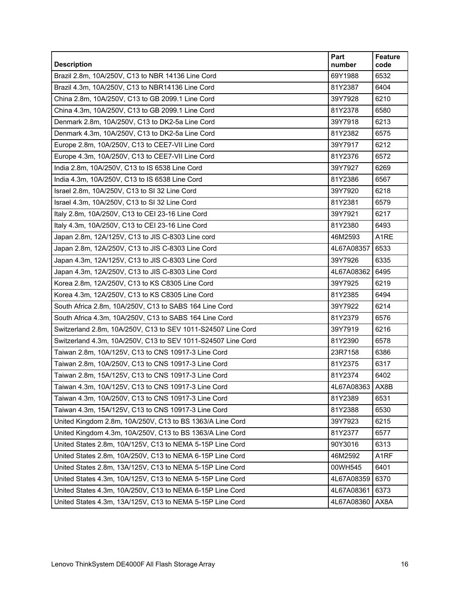| <b>Description</b>                                           | Part<br>number  | Feature<br>code   |
|--------------------------------------------------------------|-----------------|-------------------|
| Brazil 2.8m, 10A/250V, C13 to NBR 14136 Line Cord            | 69Y1988         | 6532              |
| Brazil 4.3m, 10A/250V, C13 to NBR14136 Line Cord             | 81Y2387         | 6404              |
| China 2.8m, 10A/250V, C13 to GB 2099.1 Line Cord             | 39Y7928         | 6210              |
| China 4.3m, 10A/250V, C13 to GB 2099.1 Line Cord             | 81Y2378         | 6580              |
| Denmark 2.8m, 10A/250V, C13 to DK2-5a Line Cord              | 39Y7918         | 6213              |
| Denmark 4.3m, 10A/250V, C13 to DK2-5a Line Cord              | 81Y2382         | 6575              |
| Europe 2.8m, 10A/250V, C13 to CEE7-VII Line Cord             | 39Y7917         | 6212              |
| Europe 4.3m, 10A/250V, C13 to CEE7-VII Line Cord             | 81Y2376         | 6572              |
| India 2.8m, 10A/250V, C13 to IS 6538 Line Cord               | 39Y7927         | 6269              |
| India 4.3m, 10A/250V, C13 to IS 6538 Line Cord               | 81Y2386         | 6567              |
| Israel 2.8m, 10A/250V, C13 to SI 32 Line Cord                | 39Y7920         | 6218              |
| Israel 4.3m, 10A/250V, C13 to SI 32 Line Cord                | 81Y2381         | 6579              |
| Italy 2.8m, 10A/250V, C13 to CEI 23-16 Line Cord             | 39Y7921         | 6217              |
| Italy 4.3m, 10A/250V, C13 to CEI 23-16 Line Cord             | 81Y2380         | 6493              |
| Japan 2.8m, 12A/125V, C13 to JIS C-8303 Line cord            | 46M2593         | A1RE              |
| Japan 2.8m, 12A/250V, C13 to JIS C-8303 Line Cord            | 4L67A08357      | 6533              |
| Japan 4.3m, 12A/125V, C13 to JIS C-8303 Line Cord            | 39Y7926         | 6335              |
| Japan 4.3m, 12A/250V, C13 to JIS C-8303 Line Cord            | 4L67A08362      | 6495              |
| Korea 2.8m, 12A/250V, C13 to KS C8305 Line Cord              | 39Y7925         | 6219              |
| Korea 4.3m, 12A/250V, C13 to KS C8305 Line Cord              | 81Y2385         | 6494              |
| South Africa 2.8m, 10A/250V, C13 to SABS 164 Line Cord       | 39Y7922         | 6214              |
| South Africa 4.3m, 10A/250V, C13 to SABS 164 Line Cord       | 81Y2379         | 6576              |
| Switzerland 2.8m, 10A/250V, C13 to SEV 1011-S24507 Line Cord | 39Y7919         | 6216              |
| Switzerland 4.3m, 10A/250V, C13 to SEV 1011-S24507 Line Cord | 81Y2390         | 6578              |
| Taiwan 2.8m, 10A/125V, C13 to CNS 10917-3 Line Cord          | 23R7158         | 6386              |
| Taiwan 2.8m, 10A/250V, C13 to CNS 10917-3 Line Cord          | 81Y2375         | 6317              |
| Taiwan 2.8m, 15A/125V, C13 to CNS 10917-3 Line Cord          | 81Y2374         | 6402              |
| Taiwan 4.3m, 10A/125V, C13 to CNS 10917-3 Line Cord          | 4L67A08363 AX8B |                   |
| Taiwan 4.3m, 10A/250V, C13 to CNS 10917-3 Line Cord          | 81Y2389         | 6531              |
| Taiwan 4.3m, 15A/125V, C13 to CNS 10917-3 Line Cord          | 81Y2388         | 6530              |
| United Kingdom 2.8m, 10A/250V, C13 to BS 1363/A Line Cord    | 39Y7923         | 6215              |
| United Kingdom 4.3m, 10A/250V, C13 to BS 1363/A Line Cord    | 81Y2377         | 6577              |
| United States 2.8m, 10A/125V, C13 to NEMA 5-15P Line Cord    | 90Y3016         | 6313              |
| United States 2.8m, 10A/250V, C13 to NEMA 6-15P Line Cord    | 46M2592         | A <sub>1</sub> RF |
| United States 2.8m, 13A/125V, C13 to NEMA 5-15P Line Cord    | 00WH545         | 6401              |
| United States 4.3m, 10A/125V, C13 to NEMA 5-15P Line Cord    | 4L67A08359      | 6370              |
| United States 4.3m, 10A/250V, C13 to NEMA 6-15P Line Cord    | 4L67A08361      | 6373              |
| United States 4.3m, 13A/125V, C13 to NEMA 5-15P Line Cord    | 4L67A08360      | AX8A              |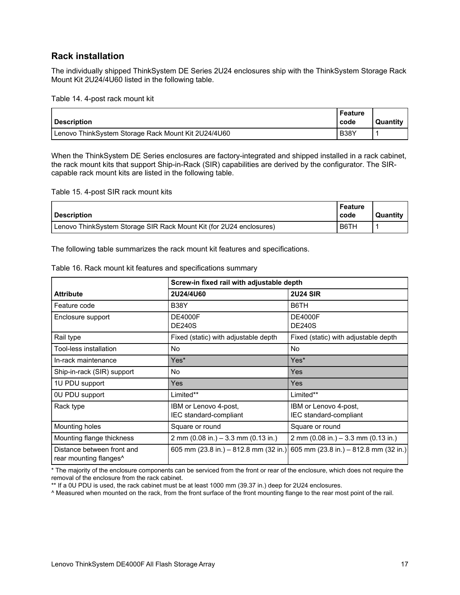### **Rack installation**

The individually shipped ThinkSystem DE Series 2U24 enclosures ship with the ThinkSystem Storage Rack Mount Kit 2U24/4U60 listed in the following table.

Table 14. 4-post rack mount kit

| <b>Description</b>                                  | Feature<br>code | Quantity |
|-----------------------------------------------------|-----------------|----------|
| Lenovo ThinkSystem Storage Rack Mount Kit 2U24/4U60 | <b>B38Y</b>     |          |

When the ThinkSystem DE Series enclosures are factory-integrated and shipped installed in a rack cabinet, the rack mount kits that support Ship-in-Rack (SIR) capabilities are derived by the configurator. The SIRcapable rack mount kits are listed in the following table.

Table 15. 4-post SIR rack mount kits

| <b>Description</b>                                                  | Feature<br>l code | Quantity |
|---------------------------------------------------------------------|-------------------|----------|
| Lenovo ThinkSystem Storage SIR Rack Mount Kit (for 2U24 enclosures) | B6TH              |          |

The following table summarizes the rack mount kit features and specifications.

|                                                                  | Screw-in fixed rail with adjustable depth                       |                                                 |  |
|------------------------------------------------------------------|-----------------------------------------------------------------|-------------------------------------------------|--|
| <b>Attribute</b>                                                 | 2U24/4U60                                                       | <b>2U24 SIR</b>                                 |  |
| Feature code                                                     | <b>B38Y</b>                                                     | B6TH                                            |  |
| Enclosure support                                                | <b>DE4000F</b><br><b>DE240S</b>                                 | <b>DE4000F</b><br><b>DE240S</b>                 |  |
| Rail type                                                        | Fixed (static) with adjustable depth                            | Fixed (static) with adjustable depth            |  |
| Tool-less installation                                           | No.                                                             | No                                              |  |
| In-rack maintenance                                              | Yes*                                                            | Yes*                                            |  |
| Ship-in-rack (SIR) support                                       | No.                                                             | <b>Yes</b>                                      |  |
| 1U PDU support                                                   | Yes                                                             | <b>Yes</b>                                      |  |
| 0U PDU support                                                   | Limited**                                                       | Limited**                                       |  |
| Rack type                                                        | IBM or Lenovo 4-post,<br>IEC standard-compliant                 | IBM or Lenovo 4-post,<br>IEC standard-compliant |  |
| Mounting holes                                                   | Square or round                                                 | Square or round                                 |  |
| Mounting flange thickness                                        | 2 mm $(0.08$ in.) $-3.3$ mm $(0.13$ in.)                        | 2 mm (0.08 in.) $-3.3$ mm (0.13 in.)            |  |
| Distance between front and<br>rear mounting flanges <sup>^</sup> | 605 mm $(23.8 \text{ in.}) - 812.8 \text{ mm} (32 \text{ in.})$ | 605 mm (23.8 in.) $-$ 812.8 mm (32 in.)         |  |

Table 16. Rack mount kit features and specifications summary

\* The majority of the enclosure components can be serviced from the front or rear of the enclosure, which does not require the removal of the enclosure from the rack cabinet.

\*\* If a 0U PDU is used, the rack cabinet must be at least 1000 mm (39.37 in.) deep for 2U24 enclosures.

^ Measured when mounted on the rack, from the front surface of the front mounting flange to the rear most point of the rail.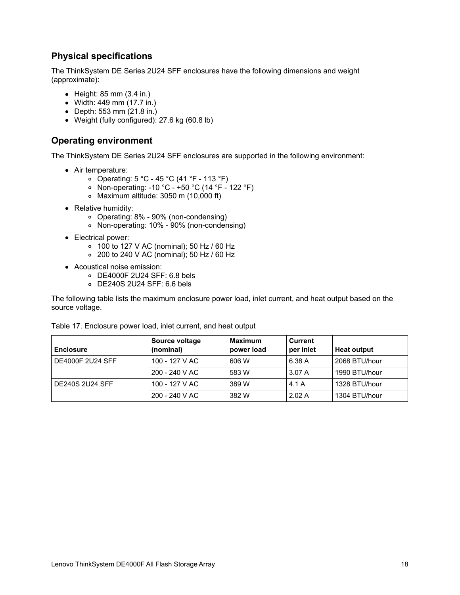## **Physical specifications**

The ThinkSystem DE Series 2U24 SFF enclosures have the following dimensions and weight (approximate):

- $\bullet$  Height: 85 mm (3.4 in.)
- Width: 449 mm (17.7 in.)
- Depth: 553 mm (21.8 in.)
- Weight (fully configured): 27.6 kg (60.8 lb)

### **Operating environment**

The ThinkSystem DE Series 2U24 SFF enclosures are supported in the following environment:

- Air temperature:
	- Operating: 5 °C 45 °C (41 °F 113 °F)
	- Non-operating: -10 °C +50 °C (14 °F 122 °F)
	- Maximum altitude: 3050 m (10,000 ft)
- Relative humidity:
	- Operating: 8% 90% (non-condensing)
	- Non-operating: 10% 90% (non-condensing)
- Electrical power:
	- 100 to 127 V AC (nominal); 50 Hz / 60 Hz
	- 200 to 240 V AC (nominal); 50 Hz / 60 Hz
- Acoustical noise emission:
	- DE4000F 2U24 SFF: 6.8 bels
	- DE240S 2U24 SFF: 6.6 bels

The following table lists the maximum enclosure power load, inlet current, and heat output based on the source voltage.

| Table 17. Enclosure power load, inlet current, and heat output                                                   |  |  |  |  |
|------------------------------------------------------------------------------------------------------------------|--|--|--|--|
| <b>Source voltage</b><br><b>Maximum</b><br><b>Current</b><br>(nominal)<br>per inlet<br>power load<br>l Enclosure |  |  |  |  |
|                                                                                                                  |  |  |  |  |

| Enclosure               | Source voltage<br>(nominal) | Maximum<br>power load | <b>Current</b><br>per inlet | <b>Heat output</b> |
|-------------------------|-----------------------------|-----------------------|-----------------------------|--------------------|
| <b>DE4000F 2U24 SFF</b> | 100 - 127 V AC              | 606 W                 | 6.38 A                      | 2068 BTU/hour      |
|                         | $200 - 240$ V AC            | 583 W                 | 3.07 A                      | 1990 BTU/hour      |
| <b>DE240S 2U24 SFF</b>  | 100 - 127 V AC              | 389 W                 | 4.1A                        | 1328 BTU/hour      |
|                         | $200 - 240$ V AC            | 382 W                 | 2.02A                       | 1304 BTU/hour      |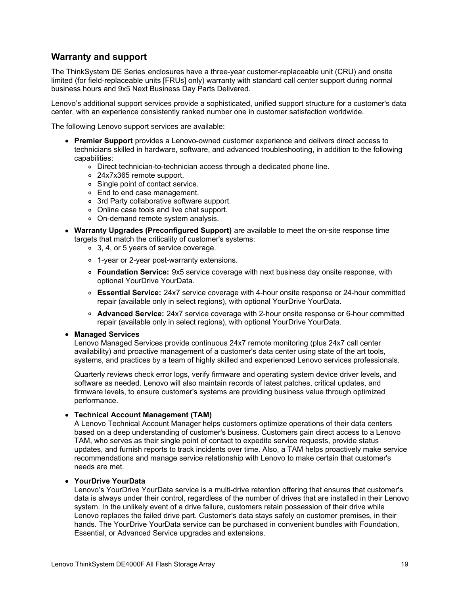### <span id="page-18-0"></span>**Warranty and support**

The ThinkSystem DE Series enclosures have a three-year customer-replaceable unit (CRU) and onsite limited (for field-replaceable units [FRUs] only) warranty with standard call center support during normal business hours and 9x5 Next Business Day Parts Delivered.

Lenovo's additional support services provide a sophisticated, unified support structure for a customer's data center, with an experience consistently ranked number one in customer satisfaction worldwide.

The following Lenovo support services are available:

- **Premier Support** provides a Lenovo-owned customer experience and delivers direct access to technicians skilled in hardware, software, and advanced troubleshooting, in addition to the following capabilities:
	- Direct technician-to-technician access through a dedicated phone line.
	- 24x7x365 remote support.
	- Single point of contact service.
	- End to end case management.
	- 3rd Party collaborative software support.
	- Online case tools and live chat support.
	- On-demand remote system analysis.
- **Warranty Upgrades (Preconfigured Support)** are available to meet the on-site response time targets that match the criticality of customer's systems:
	- 3, 4, or 5 years of service coverage.
	- 1-year or 2-year post-warranty extensions.
	- **Foundation Service:** 9x5 service coverage with next business day onsite response, with optional YourDrive YourData.
	- **Essential Service:** 24x7 service coverage with 4-hour onsite response or 24-hour committed repair (available only in select regions), with optional YourDrive YourData.
	- **Advanced Service:** 24x7 service coverage with 2-hour onsite response or 6-hour committed repair (available only in select regions), with optional YourDrive YourData.

#### **Managed Services**

Lenovo Managed Services provide continuous 24x7 remote monitoring (plus 24x7 call center availability) and proactive management of a customer's data center using state of the art tools, systems, and practices by a team of highly skilled and experienced Lenovo services professionals.

Quarterly reviews check error logs, verify firmware and operating system device driver levels, and software as needed. Lenovo will also maintain records of latest patches, critical updates, and firmware levels, to ensure customer's systems are providing business value through optimized performance.

#### **Technical Account Management (TAM)**

A Lenovo Technical Account Manager helps customers optimize operations of their data centers based on a deep understanding of customer's business. Customers gain direct access to a Lenovo TAM, who serves as their single point of contact to expedite service requests, provide status updates, and furnish reports to track incidents over time. Also, a TAM helps proactively make service recommendations and manage service relationship with Lenovo to make certain that customer's needs are met.

#### **YourDrive YourData**

Lenovo's YourDrive YourData service is a multi-drive retention offering that ensures that customer's data is always under their control, regardless of the number of drives that are installed in their Lenovo system. In the unlikely event of a drive failure, customers retain possession of their drive while Lenovo replaces the failed drive part. Customer's data stays safely on customer premises, in their hands. The YourDrive YourData service can be purchased in convenient bundles with Foundation, Essential, or Advanced Service upgrades and extensions.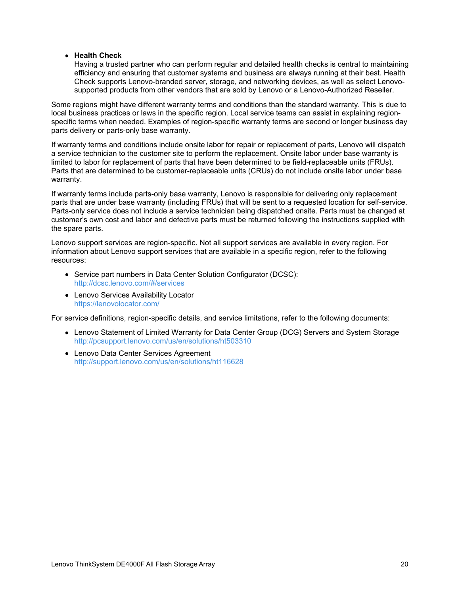#### **Health Check**

Having a trusted partner who can perform regular and detailed health checks is central to maintaining efficiency and ensuring that customer systems and business are always running at their best. Health Check supports Lenovo-branded server, storage, and networking devices, as well as select Lenovosupported products from other vendors that are sold by Lenovo or a Lenovo-Authorized Reseller.

Some regions might have different warranty terms and conditions than the standard warranty. This is due to local business practices or laws in the specific region. Local service teams can assist in explaining regionspecific terms when needed. Examples of region-specific warranty terms are second or longer business day parts delivery or parts-only base warranty.

If warranty terms and conditions include onsite labor for repair or replacement of parts, Lenovo will dispatch a service technician to the customer site to perform the replacement. Onsite labor under base warranty is limited to labor for replacement of parts that have been determined to be field-replaceable units (FRUs). Parts that are determined to be customer-replaceable units (CRUs) do not include onsite labor under base warranty.

If warranty terms include parts-only base warranty, Lenovo is responsible for delivering only replacement parts that are under base warranty (including FRUs) that will be sent to a requested location for self-service. Parts-only service does not include a service technician being dispatched onsite. Parts must be changed at customer's own cost and labor and defective parts must be returned following the instructions supplied with the spare parts.

Lenovo support services are region-specific. Not all support services are available in every region. For information about Lenovo support services that are available in a specific region, refer to the following resources:

- Service part numbers in Data Center Solution Configurator (DCSC): <http://dcsc.lenovo.com/#/services>
- Lenovo Services Availability Locator <https://lenovolocator.com/>

For service definitions, region-specific details, and service limitations, refer to the following documents:

- Lenovo Statement of Limited Warranty for Data Center Group (DCG) Servers and System Storage <http://pcsupport.lenovo.com/us/en/solutions/ht503310>
- Lenovo Data Center Services Agreement <http://support.lenovo.com/us/en/solutions/ht116628>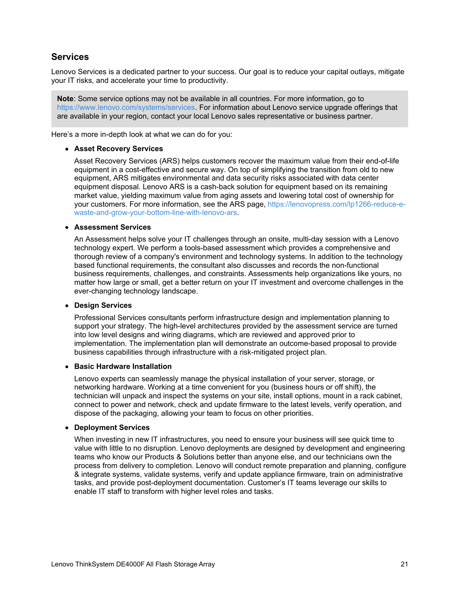### **Services**

Lenovo Services is a dedicated partner to your success. Our goal is to reduce your capital outlays, mitigate your IT risks, and accelerate your time to productivity.

**Note**: Some service options may not be available in all countries. For more information, go to <https://www.lenovo.com/systems/services>. For information about Lenovo service upgrade offerings that are available in your region, contact your local Lenovo sales representative or business partner.

Here's a more in-depth look at what we can do for you:

#### **Asset Recovery Services**

Asset Recovery Services (ARS) helps customers recover the maximum value from their end-of-life equipment in a cost-effective and secure way. On top of simplifying the transition from old to new equipment, ARS mitigates environmental and data security risks associated with data center equipment disposal. Lenovo ARS is a cash-back solution for equipment based on its remaining market value, yielding maximum value from aging assets and lowering total cost of ownership for your customers. For more information, see the ARS page, https://lenovopress.com/lp1266-reduce-e[waste-and-grow-your-bottom-line-with-lenovo-ars.](https://lenovopress.com/lp1266-reduce-e-waste-and-grow-your-bottom-line-with-lenovo-ars)

#### **Assessment Services**

An Assessment helps solve your IT challenges through an onsite, multi-day session with a Lenovo technology expert. We perform a tools-based assessment which provides a comprehensive and thorough review of a company's environment and technology systems. In addition to the technology based functional requirements, the consultant also discusses and records the non-functional business requirements, challenges, and constraints. Assessments help organizations like yours, no matter how large or small, get a better return on your IT investment and overcome challenges in the ever-changing technology landscape.

#### **Design Services**

Professional Services consultants perform infrastructure design and implementation planning to support your strategy. The high-level architectures provided by the assessment service are turned into low level designs and wiring diagrams, which are reviewed and approved prior to implementation. The implementation plan will demonstrate an outcome-based proposal to provide business capabilities through infrastructure with a risk-mitigated project plan.

#### **Basic Hardware Installation**

Lenovo experts can seamlessly manage the physical installation of your server, storage, or networking hardware. Working at a time convenient for you (business hours or off shift), the technician will unpack and inspect the systems on your site, install options, mount in a rack cabinet, connect to power and network, check and update firmware to the latest levels, verify operation, and dispose of the packaging, allowing your team to focus on other priorities.

#### **Deployment Services**

When investing in new IT infrastructures, you need to ensure your business will see quick time to value with little to no disruption. Lenovo deployments are designed by development and engineering teams who know our Products & Solutions better than anyone else, and our technicians own the process from delivery to completion. Lenovo will conduct remote preparation and planning, configure & integrate systems, validate systems, verify and update appliance firmware, train on administrative tasks, and provide post-deployment documentation. Customer's IT teams leverage our skills to enable IT staff to transform with higher level roles and tasks.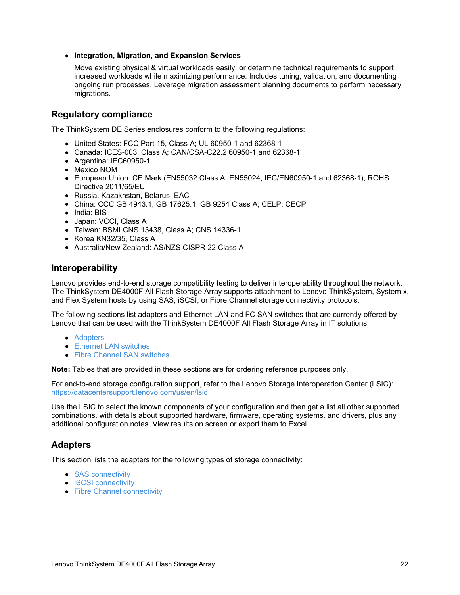#### **Integration, Migration, and Expansion Services**

Move existing physical & virtual workloads easily, or determine technical requirements to support increased workloads while maximizing performance. Includes tuning, validation, and documenting ongoing run processes. Leverage migration assessment planning documents to perform necessary migrations.

### **Regulatory compliance**

The ThinkSystem DE Series enclosures conform to the following regulations:

- United States: FCC Part 15, Class A; UL 60950-1 and 62368-1
- Canada: ICES-003, Class A; CAN/CSA-C22.2 60950-1 and 62368-1
- Argentina: IEC60950-1
- Mexico NOM
- European Union: CE Mark (EN55032 Class A, EN55024, IEC/EN60950-1 and 62368-1); ROHS Directive 2011/65/EU
- Russia, Kazakhstan, Belarus: EAC
- China: CCC GB 4943.1, GB 17625.1, GB 9254 Class A; CELP; CECP
- India: BIS
- Japan: VCCI, Class A
- Taiwan: BSMI CNS 13438, Class A; CNS 14336-1
- Korea KN32/35, Class A
- Australia/New Zealand: AS/NZS CISPR 22 Class A

### **Interoperability**

Lenovo provides end-to-end storage compatibility testing to deliver interoperability throughout the network. The ThinkSystem DE4000F All Flash Storage Array supports attachment to Lenovo ThinkSystem, System x, and Flex System hosts by using SAS, iSCSI, or Fibre Channel storage connectivity protocols.

The following sections list adapters and Ethernet LAN and FC SAN switches that are currently offered by Lenovo that can be used with the ThinkSystem DE4000F All Flash Storage Array in IT solutions:

- [Adapters](#page-21-0)
- **[Ethernet](#page-23-0) LAN switches**
- Fibre Channel SAN [switches](#page-23-1)

**Note:** Tables that are provided in these sections are for ordering reference purposes only.

For end-to-end storage configuration support, refer to the Lenovo Storage Interoperation Center (LSIC): <https://datacentersupport.lenovo.com/us/en/lsic>

Use the LSIC to select the known components of your configuration and then get a list all other supported combinations, with details about supported hardware, firmware, operating systems, and drivers, plus any additional configuration notes. View results on screen or export them to Excel.

### <span id="page-21-0"></span>**Adapters**

This section lists the adapters for the following types of storage connectivity:

- SAS [connectivity](#page-22-0)
- **iSCSI [connectivity](#page-22-1)**
- Fibre Channel [connectivity](#page-22-2)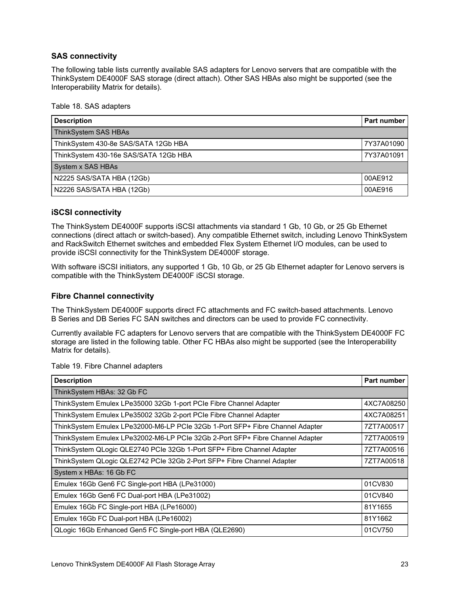### <span id="page-22-0"></span>**SAS connectivity**

The following table lists currently available SAS adapters for Lenovo servers that are compatible with the ThinkSystem DE4000F SAS storage (direct attach). Other SAS HBAs also might be supported (see the Interoperability Matrix for details).

#### Table 18. SAS adapters

| <b>Description</b>                    | <b>Part number</b> |
|---------------------------------------|--------------------|
| ThinkSystem SAS HBAs                  |                    |
| ThinkSystem 430-8e SAS/SATA 12Gb HBA  | 7Y37A01090         |
| ThinkSystem 430-16e SAS/SATA 12Gb HBA | 7Y37A01091         |
| System x SAS HBAs                     |                    |
| N2225 SAS/SATA HBA (12Gb)             | 00AE912            |
| N2226 SAS/SATA HBA (12Gb)             | 00AE916            |

### <span id="page-22-1"></span>**iSCSI connectivity**

The ThinkSystem DE4000F supports iSCSI attachments via standard 1 Gb, 10 Gb, or 25 Gb Ethernet connections (direct attach or switch-based). Any compatible Ethernet switch, including Lenovo ThinkSystem and RackSwitch Ethernet switches and embedded Flex System Ethernet I/O modules, can be used to provide iSCSI connectivity for the ThinkSystem DE4000F storage.

With software iSCSI initiators, any supported 1 Gb, 10 Gb, or 25 Gb Ethernet adapter for Lenovo servers is compatible with the ThinkSystem DE4000F iSCSI storage.

#### <span id="page-22-2"></span>**Fibre Channel connectivity**

The ThinkSystem DE4000F supports direct FC attachments and FC switch-based attachments. Lenovo B Series and DB Series FC SAN switches and directors can be used to provide FC connectivity.

Currently available FC adapters for Lenovo servers that are compatible with the ThinkSystem DE4000F FC storage are listed in the following table. Other FC HBAs also might be supported (see the Interoperability Matrix for details).

| <b>Description</b>                                                            | Part number |
|-------------------------------------------------------------------------------|-------------|
| ThinkSystem HBAs: 32 Gb FC                                                    |             |
| ThinkSystem Emulex LPe35000 32Gb 1-port PCIe Fibre Channel Adapter            | 4XC7A08250  |
| ThinkSystem Emulex LPe35002 32Gb 2-port PCIe Fibre Channel Adapter            | 4XC7A08251  |
| ThinkSystem Emulex LPe32000-M6-LP PCIe 32Gb 1-Port SFP+ Fibre Channel Adapter | 7ZT7A00517  |
| ThinkSystem Emulex LPe32002-M6-LP PCIe 32Gb 2-Port SFP+ Fibre Channel Adapter | 7ZT7A00519  |
| ThinkSystem QLogic QLE2740 PCIe 32Gb 1-Port SFP+ Fibre Channel Adapter        | 7ZT7A00516  |
| ThinkSystem QLogic QLE2742 PCIe 32Gb 2-Port SFP+ Fibre Channel Adapter        | 7ZT7A00518  |
| System x HBAs: 16 Gb FC                                                       |             |
| Emulex 16Gb Gen6 FC Single-port HBA (LPe31000)                                | 01CV830     |
| Emulex 16Gb Gen6 FC Dual-port HBA (LPe31002)                                  | 01CV840     |
| Emulex 16Gb FC Single-port HBA (LPe16000)                                     | 81Y1655     |
| Emulex 16Gb FC Dual-port HBA (LPe16002)                                       | 81Y1662     |
| QLogic 16Gb Enhanced Gen5 FC Single-port HBA (QLE2690)                        | 01CV750     |

Table 19. Fibre Channel adapters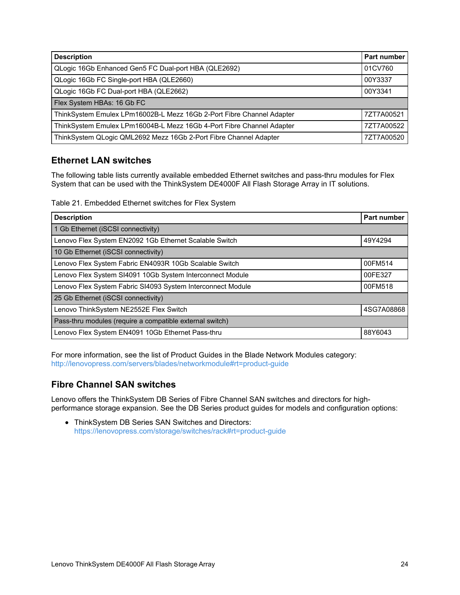| <b>Description</b>                                                    | <b>Part number</b> |
|-----------------------------------------------------------------------|--------------------|
| QLogic 16Gb Enhanced Gen5 FC Dual-port HBA (QLE2692)                  | 01CV760            |
| QLogic 16Gb FC Single-port HBA (QLE2660)                              | 00Y3337            |
| QLogic 16Gb FC Dual-port HBA (QLE2662)                                | 00Y3341            |
| Flex System HBAs: 16 Gb FC                                            |                    |
| ThinkSystem Emulex LPm16002B-L Mezz 16Gb 2-Port Fibre Channel Adapter | 7ZT7A00521         |
| ThinkSystem Emulex LPm16004B-L Mezz 16Gb 4-Port Fibre Channel Adapter | 7ZT7A00522         |
| ThinkSystem QLogic QML2692 Mezz 16Gb 2-Port Fibre Channel Adapter     | 7ZT7A00520         |

## <span id="page-23-0"></span>**Ethernet LAN switches**

The following table lists currently available embedded Ethernet switches and pass-thru modules for Flex System that can be used with the ThinkSystem DE4000F All Flash Storage Array in IT solutions.

Table 21. Embedded Ethernet switches for Flex System

| <b>Description</b>                                          | Part number |
|-------------------------------------------------------------|-------------|
| 1 Gb Ethernet (iSCSI connectivity)                          |             |
| Lenovo Flex System EN2092 1Gb Ethernet Scalable Switch      | 49Y4294     |
| 10 Gb Ethernet (iSCSI connectivity)                         |             |
| Lenovo Flex System Fabric EN4093R 10Gb Scalable Switch      | 00FM514     |
| Lenovo Flex System SI4091 10Gb System Interconnect Module   | 00FE327     |
| Lenovo Flex System Fabric SI4093 System Interconnect Module | 00FM518     |
| 25 Gb Ethernet (iSCSI connectivity)                         |             |
| Lenovo ThinkSystem NE2552E Flex Switch                      | 4SG7A08868  |
| Pass-thru modules (require a compatible external switch)    |             |
| Lenovo Flex System EN4091 10Gb Ethernet Pass-thru           | 88Y6043     |

For more information, see the list of Product Guides in the Blade Network Modules category: <http://lenovopress.com/servers/blades/networkmodule#rt=product-guide>

## <span id="page-23-1"></span>**Fibre Channel SAN switches**

Lenovo offers the ThinkSystem DB Series of Fibre Channel SAN switches and directors for highperformance storage expansion. See the DB Series product guides for models and configuration options:

ThinkSystem DB Series SAN Switches and Directors: <https://lenovopress.com/storage/switches/rack#rt=product-guide>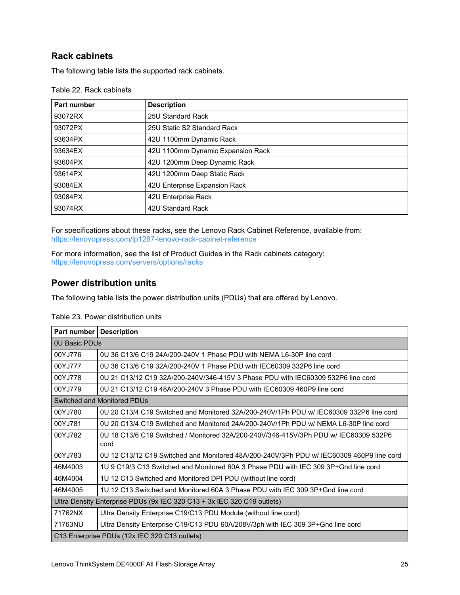## **Rack cabinets**

The following table lists the supported rack cabinets.

| Part number | <b>Description</b>                |
|-------------|-----------------------------------|
| 93072RX     | 25U Standard Rack                 |
| 93072PX     | 25U Static S2 Standard Rack       |
| 93634PX     | 42U 1100mm Dynamic Rack           |
| 93634EX     | 42U 1100mm Dynamic Expansion Rack |
| 93604PX     | 42U 1200mm Deep Dynamic Rack      |
| 93614PX     | 42U 1200mm Deep Static Rack       |
| 93084EX     | 42U Enterprise Expansion Rack     |
| 93084PX     | 42U Enterprise Rack               |
| 93074RX     | 42U Standard Rack                 |

Table 22. Rack cabinets

For specifications about these racks, see the Lenovo Rack Cabinet Reference, available from: <https://lenovopress.com/lp1287-lenovo-rack-cabinet-reference>

For more information, see the list of Product Guides in the Rack cabinets category: <https://lenovopress.com/servers/options/racks>

### **Power distribution units**

The following table lists the power distribution units (PDUs) that are offered by Lenovo.

| <b>Part number   Description</b>                                        |                                                                                              |  |
|-------------------------------------------------------------------------|----------------------------------------------------------------------------------------------|--|
| OU Basic PDUs                                                           |                                                                                              |  |
| 00YJ776                                                                 | 0U 36 C13/6 C19 24A/200-240V 1 Phase PDU with NEMA L6-30P line cord                          |  |
| 00YJ777                                                                 | 0U 36 C13/6 C19 32A/200-240V 1 Phase PDU with IEC60309 332P6 line cord                       |  |
| 00YJ778                                                                 | 0U 21 C13/12 C19 32A/200-240V/346-415V 3 Phase PDU with IEC60309 532P6 line cord             |  |
| 00YJ779                                                                 | 0U 21 C13/12 C19 48A/200-240V 3 Phase PDU with IEC60309 460P9 line cord                      |  |
| Switched and Monitored PDUs                                             |                                                                                              |  |
| 00YJ780                                                                 | 0U 20 C13/4 C19 Switched and Monitored 32A/200-240V/1Ph PDU w/ IEC60309 332P6 line cord      |  |
| 00YJ781                                                                 | 0U 20 C13/4 C19 Switched and Monitored 24A/200-240V/1Ph PDU w/ NEMA L6-30P line cord         |  |
| 00YJ782                                                                 | 0U 18 C13/6 C19 Switched / Monitored 32A/200-240V/346-415V/3Ph PDU w/ IEC60309 532P6<br>cord |  |
| 00YJ783                                                                 | 0U 12 C13/12 C19 Switched and Monitored 48A/200-240V/3Ph PDU w/ IEC60309 460P9 line cord     |  |
| 46M4003                                                                 | 1U 9 C19/3 C13 Switched and Monitored 60A 3 Phase PDU with IEC 309 3P+Gnd line cord          |  |
| 46M4004                                                                 | 1U 12 C13 Switched and Monitored DPI PDU (without line cord)                                 |  |
| 46M4005                                                                 | 1U 12 C13 Switched and Monitored 60A 3 Phase PDU with IEC 309 3P+Gnd line cord               |  |
| Ultra Density Enterprise PDUs (9x IEC 320 C13 + 3x IEC 320 C19 outlets) |                                                                                              |  |
| 71762NX                                                                 | Ultra Density Enterprise C19/C13 PDU Module (without line cord)                              |  |
| 71763NU                                                                 | Ultra Density Enterprise C19/C13 PDU 60A/208V/3ph with IEC 309 3P+Gnd line cord              |  |
| C13 Enterprise PDUs (12x IEC 320 C13 outlets)                           |                                                                                              |  |

Table 23. Power distribution units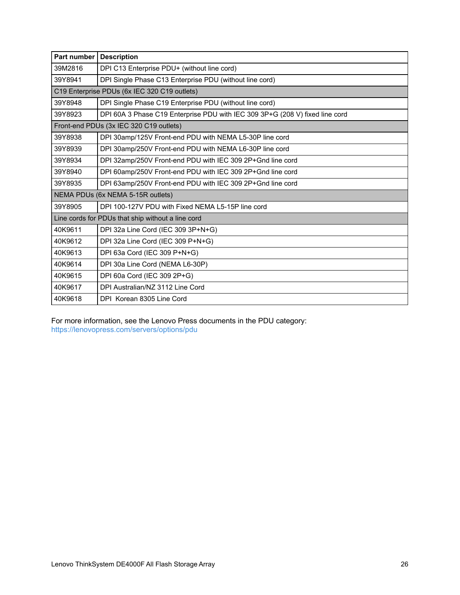| Part number                                       | <b>Description</b>                                                           |  |
|---------------------------------------------------|------------------------------------------------------------------------------|--|
| 39M2816                                           | DPI C13 Enterprise PDU+ (without line cord)                                  |  |
| 39Y8941                                           | DPI Single Phase C13 Enterprise PDU (without line cord)                      |  |
|                                                   | C19 Enterprise PDUs (6x IEC 320 C19 outlets)                                 |  |
| 39Y8948                                           | DPI Single Phase C19 Enterprise PDU (without line cord)                      |  |
| 39Y8923                                           | DPI 60A 3 Phase C19 Enterprise PDU with IEC 309 3P+G (208 V) fixed line cord |  |
| Front-end PDUs (3x IEC 320 C19 outlets)           |                                                                              |  |
| 39Y8938                                           | DPI 30amp/125V Front-end PDU with NEMA L5-30P line cord                      |  |
| 39Y8939                                           | DPI 30amp/250V Front-end PDU with NEMA L6-30P line cord                      |  |
| 39Y8934                                           | DPI 32amp/250V Front-end PDU with IEC 309 2P+Gnd line cord                   |  |
| 39Y8940                                           | DPI 60amp/250V Front-end PDU with IEC 309 2P+Gnd line cord                   |  |
| 39Y8935                                           | DPI 63amp/250V Front-end PDU with IEC 309 2P+Gnd line cord                   |  |
| NEMA PDUs (6x NEMA 5-15R outlets)                 |                                                                              |  |
| 39Y8905                                           | DPI 100-127V PDU with Fixed NEMA L5-15P line cord                            |  |
| Line cords for PDUs that ship without a line cord |                                                                              |  |
| 40K9611                                           | DPI 32a Line Cord (IEC 309 3P+N+G)                                           |  |
| 40K9612                                           | DPI 32a Line Cord (IEC 309 P+N+G)                                            |  |
| 40K9613                                           | DPI 63a Cord (IEC 309 P+N+G)                                                 |  |
| 40K9614                                           | DPI 30a Line Cord (NEMA L6-30P)                                              |  |
| 40K9615                                           | DPI 60a Cord (IEC 309 2P+G)                                                  |  |
| 40K9617                                           | DPI Australian/NZ 3112 Line Cord                                             |  |
| 40K9618                                           | DPI Korean 8305 Line Cord                                                    |  |

For more information, see the Lenovo Press documents in the PDU category: <https://lenovopress.com/servers/options/pdu>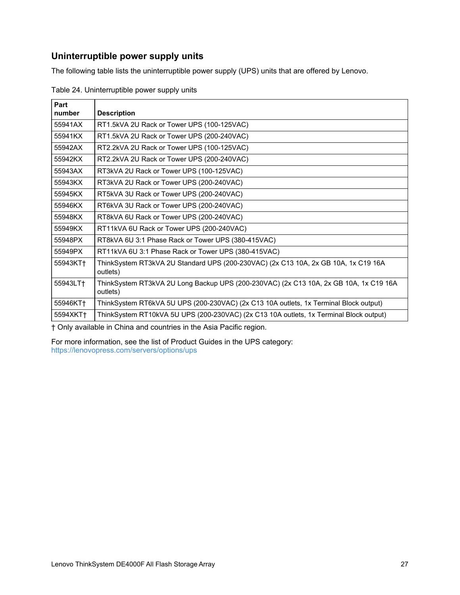## **Uninterruptible power supply units**

The following table lists the uninterruptible power supply (UPS) units that are offered by Lenovo.

| Part     |                                                                                                   |
|----------|---------------------------------------------------------------------------------------------------|
| number   | <b>Description</b>                                                                                |
| 55941AX  | RT1.5kVA 2U Rack or Tower UPS (100-125VAC)                                                        |
| 55941KX  | RT1.5kVA 2U Rack or Tower UPS (200-240VAC)                                                        |
| 55942AX  | RT2.2kVA 2U Rack or Tower UPS (100-125VAC)                                                        |
| 55942KX  | RT2.2kVA 2U Rack or Tower UPS (200-240VAC)                                                        |
| 55943AX  | RT3kVA 2U Rack or Tower UPS (100-125VAC)                                                          |
| 55943KX  | RT3kVA 2U Rack or Tower UPS (200-240VAC)                                                          |
| 55945KX  | RT5kVA 3U Rack or Tower UPS (200-240VAC)                                                          |
| 55946KX  | RT6kVA 3U Rack or Tower UPS (200-240VAC)                                                          |
| 55948KX  | RT8kVA 6U Rack or Tower UPS (200-240VAC)                                                          |
| 55949KX  | RT11kVA 6U Rack or Tower UPS (200-240VAC)                                                         |
| 55948PX  | RT8kVA 6U 3:1 Phase Rack or Tower UPS (380-415VAC)                                                |
| 55949PX  | RT11kVA 6U 3:1 Phase Rack or Tower UPS (380-415VAC)                                               |
| 55943KT+ | ThinkSystem RT3kVA 2U Standard UPS (200-230VAC) (2x C13 10A, 2x GB 10A, 1x C19 16A<br>outlets)    |
| 55943LT+ | ThinkSystem RT3kVA 2U Long Backup UPS (200-230VAC) (2x C13 10A, 2x GB 10A, 1x C19 16A<br>outlets) |
| 55946KT+ | ThinkSystem RT6kVA 5U UPS (200-230VAC) (2x C13 10A outlets, 1x Terminal Block output)             |
| 5594XKT+ | ThinkSystem RT10kVA 5U UPS (200-230VAC) (2x C13 10A outlets, 1x Terminal Block output)            |

Table 24. Uninterruptible power supply units

† Only available in China and countries in the Asia Pacific region.

For more information, see the list of Product Guides in the UPS category: <https://lenovopress.com/servers/options/ups>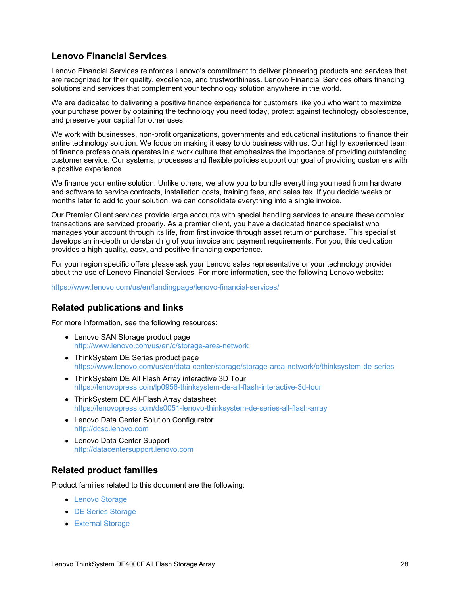## **Lenovo Financial Services**

Lenovo Financial Services reinforces Lenovo's commitment to deliver pioneering products and services that are recognized for their quality, excellence, and trustworthiness. Lenovo Financial Services offers financing solutions and services that complement your technology solution anywhere in the world.

We are dedicated to delivering a positive finance experience for customers like you who want to maximize your purchase power by obtaining the technology you need today, protect against technology obsolescence, and preserve your capital for other uses.

We work with businesses, non-profit organizations, governments and educational institutions to finance their entire technology solution. We focus on making it easy to do business with us. Our highly experienced team of finance professionals operates in a work culture that emphasizes the importance of providing outstanding customer service. Our systems, processes and flexible policies support our goal of providing customers with a positive experience.

We finance your entire solution. Unlike others, we allow you to bundle everything you need from hardware and software to service contracts, installation costs, training fees, and sales tax. If you decide weeks or months later to add to your solution, we can consolidate everything into a single invoice.

Our Premier Client services provide large accounts with special handling services to ensure these complex transactions are serviced properly. As a premier client, you have a dedicated finance specialist who manages your account through its life, from first invoice through asset return or purchase. This specialist develops an in-depth understanding of your invoice and payment requirements. For you, this dedication provides a high-quality, easy, and positive financing experience.

For your region specific offers please ask your Lenovo sales representative or your technology provider about the use of Lenovo Financial Services. For more information, see the following Lenovo website:

<https://www.lenovo.com/us/en/landingpage/lenovo-financial-services/>

### **Related publications and links**

For more information, see the following resources:

- Lenovo SAN Storage product page <http://www.lenovo.com/us/en/c/storage-area-network>
- ThinkSystem DE Series product page <https://www.lenovo.com/us/en/data-center/storage/storage-area-network/c/thinksystem-de-series>
- ThinkSystem DE All Flash Array interactive 3D Tour <https://lenovopress.com/lp0956-thinksystem-de-all-flash-interactive-3d-tour>
- ThinkSystem DE All-Flash Array datasheet <https://lenovopress.com/ds0051-lenovo-thinksystem-de-series-all-flash-array>
- Lenovo Data Center Solution Configurator <http://dcsc.lenovo.com>
- Lenovo Data Center Support <http://datacentersupport.lenovo.com>

## **Related product families**

Product families related to this document are the following:

- Lenovo [Storage](http://lenovopress.com/storage/san/lenovo)
- DE Series [Storage](http://lenovopress.com/storage/thinksystem/de-series)
- **[External](http://lenovopress.com/servers/options/external-storage) Storage**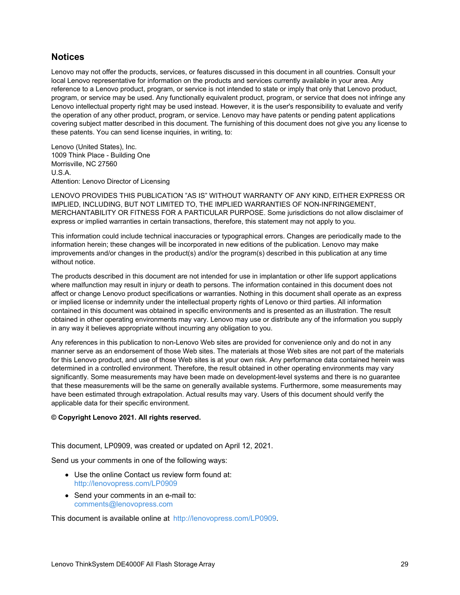### **Notices**

Lenovo may not offer the products, services, or features discussed in this document in all countries. Consult your local Lenovo representative for information on the products and services currently available in your area. Any reference to a Lenovo product, program, or service is not intended to state or imply that only that Lenovo product, program, or service may be used. Any functionally equivalent product, program, or service that does not infringe any Lenovo intellectual property right may be used instead. However, it is the user's responsibility to evaluate and verify the operation of any other product, program, or service. Lenovo may have patents or pending patent applications covering subject matter described in this document. The furnishing of this document does not give you any license to these patents. You can send license inquiries, in writing, to:

Lenovo (United States), Inc. 1009 Think Place - Building One Morrisville, NC 27560 U.S.A. Attention: Lenovo Director of Licensing

LENOVO PROVIDES THIS PUBLICATION "AS IS" WITHOUT WARRANTY OF ANY KIND, EITHER EXPRESS OR IMPLIED, INCLUDING, BUT NOT LIMITED TO, THE IMPLIED WARRANTIES OF NON-INFRINGEMENT, MERCHANTABILITY OR FITNESS FOR A PARTICULAR PURPOSE. Some jurisdictions do not allow disclaimer of express or implied warranties in certain transactions, therefore, this statement may not apply to you.

This information could include technical inaccuracies or typographical errors. Changes are periodically made to the information herein; these changes will be incorporated in new editions of the publication. Lenovo may make improvements and/or changes in the product(s) and/or the program(s) described in this publication at any time without notice.

The products described in this document are not intended for use in implantation or other life support applications where malfunction may result in injury or death to persons. The information contained in this document does not affect or change Lenovo product specifications or warranties. Nothing in this document shall operate as an express or implied license or indemnity under the intellectual property rights of Lenovo or third parties. All information contained in this document was obtained in specific environments and is presented as an illustration. The result obtained in other operating environments may vary. Lenovo may use or distribute any of the information you supply in any way it believes appropriate without incurring any obligation to you.

Any references in this publication to non-Lenovo Web sites are provided for convenience only and do not in any manner serve as an endorsement of those Web sites. The materials at those Web sites are not part of the materials for this Lenovo product, and use of those Web sites is at your own risk. Any performance data contained herein was determined in a controlled environment. Therefore, the result obtained in other operating environments may vary significantly. Some measurements may have been made on development-level systems and there is no guarantee that these measurements will be the same on generally available systems. Furthermore, some measurements may have been estimated through extrapolation. Actual results may vary. Users of this document should verify the applicable data for their specific environment.

#### **© Copyright Lenovo 2021. All rights reserved.**

This document, LP0909, was created or updated on April 12, 2021.

Send us your comments in one of the following ways:

- Use the online Contact us review form found at: <http://lenovopress.com/LP0909>
- Send your comments in an e-mail to: [comments@lenovopress.com](mailto:comments@lenovopress.com?subject=Feedback for LP0909)

This document is available online at <http://lenovopress.com/LP0909>.